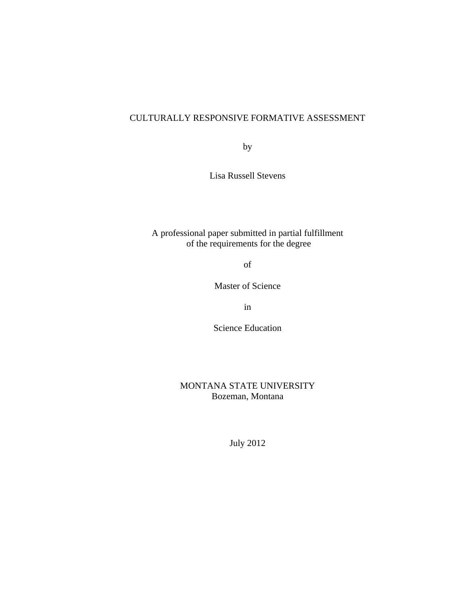### CULTURALLY RESPONSIVE FORMATIVE ASSESSMENT

by

Lisa Russell Stevens

## A professional paper submitted in partial fulfillment of the requirements for the degree

of

Master of Science

in

Science Education

## MONTANA STATE UNIVERSITY Bozeman, Montana

July 2012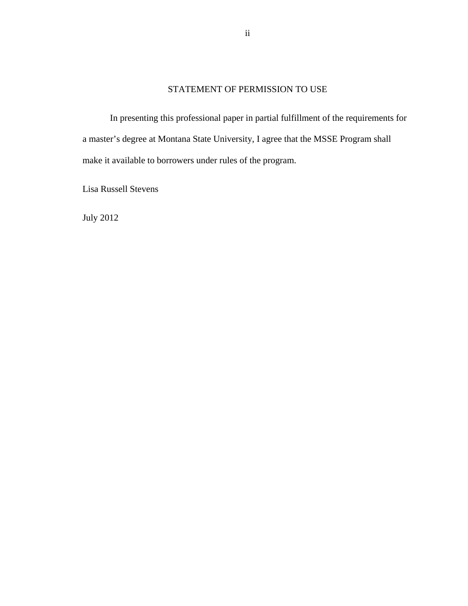## STATEMENT OF PERMISSION TO USE

In presenting this professional paper in partial fulfillment of the requirements for a master's degree at Montana State University, I agree that the MSSE Program shall make it available to borrowers under rules of the program.

Lisa Russell Stevens

July 2012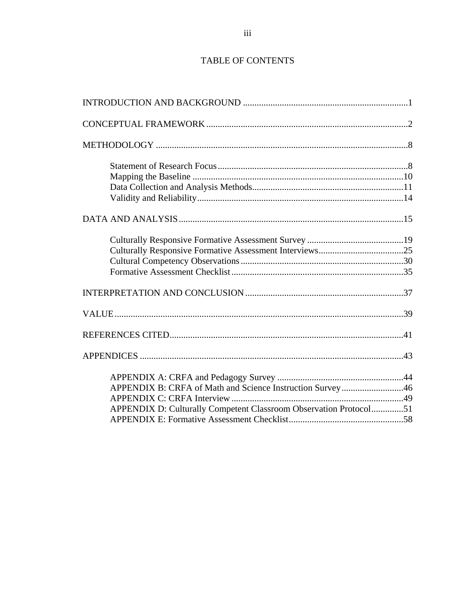# TABLE OF CONTENTS

| APPENDIX B: CRFA of Math and Science Instruction Survey46         |  |
|-------------------------------------------------------------------|--|
|                                                                   |  |
| APPENDIX D: Culturally Competent Classroom Observation Protocol51 |  |
|                                                                   |  |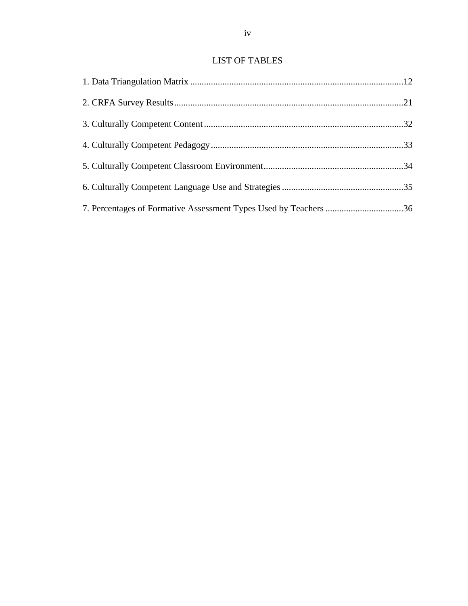# LIST OF TABLES

| 7. Percentages of Formative Assessment Types Used by Teachers 36 |  |
|------------------------------------------------------------------|--|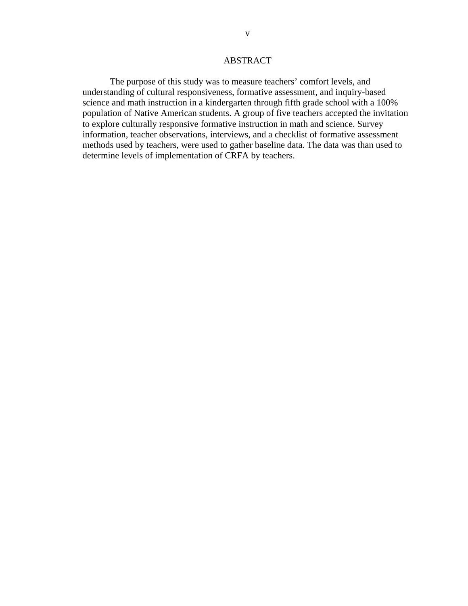### ABSTRACT

The purpose of this study was to measure teachers' comfort levels, and understanding of cultural responsiveness, formative assessment, and inquiry-based science and math instruction in a kindergarten through fifth grade school with a 100% population of Native American students. A group of five teachers accepted the invitation to explore culturally responsive formative instruction in math and science. Survey information, teacher observations, interviews, and a checklist of formative assessment methods used by teachers, were used to gather baseline data. The data was than used to determine levels of implementation of CRFA by teachers.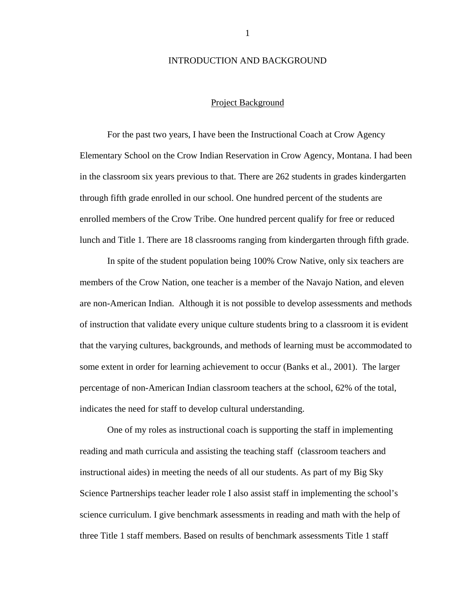#### INTRODUCTION AND BACKGROUND

#### Project Background

For the past two years, I have been the Instructional Coach at Crow Agency Elementary School on the Crow Indian Reservation in Crow Agency, Montana. I had been in the classroom six years previous to that. There are 262 students in grades kindergarten through fifth grade enrolled in our school. One hundred percent of the students are enrolled members of the Crow Tribe. One hundred percent qualify for free or reduced lunch and Title 1. There are 18 classrooms ranging from kindergarten through fifth grade.

In spite of the student population being 100% Crow Native, only six teachers are members of the Crow Nation, one teacher is a member of the Navajo Nation, and eleven are non-American Indian. Although it is not possible to develop assessments and methods of instruction that validate every unique culture students bring to a classroom it is evident that the varying cultures, backgrounds, and methods of learning must be accommodated to some extent in order for learning achievement to occur (Banks et al., 2001). The larger percentage of non-American Indian classroom teachers at the school, 62% of the total, indicates the need for staff to develop cultural understanding.

One of my roles as instructional coach is supporting the staff in implementing reading and math curricula and assisting the teaching staff (classroom teachers and instructional aides) in meeting the needs of all our students. As part of my Big Sky Science Partnerships teacher leader role I also assist staff in implementing the school's science curriculum. I give benchmark assessments in reading and math with the help of three Title 1 staff members. Based on results of benchmark assessments Title 1 staff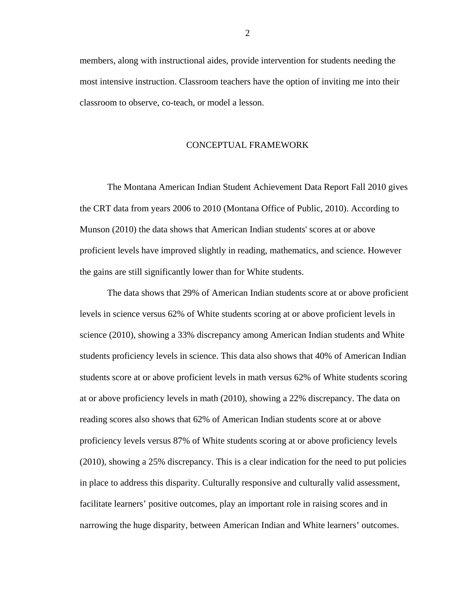members, along with instructional aides, provide intervention for students needing the most intensive instruction. Classroom teachers have the option of inviting me into their classroom to observe, co-teach, or model a lesson.

#### CONCEPTUAL FRAMEWORK

The Montana American Indian Student Achievement Data Report Fall 2010 gives the CRT data from years 2006 to 2010 (Montana Office of Public, 2010). According to Munson (2010) the data shows that American Indian students' scores at or above proficient levels have improved slightly in reading, mathematics, and science. However the gains are still significantly lower than for White students.

The data shows that 29% of American Indian students score at or above proficient levels in science versus 62% of White students scoring at or above proficient levels in science (2010), showing a 33% discrepancy among American Indian students and White students proficiency levels in science. This data also shows that 40% of American Indian students score at or above proficient levels in math versus 62% of White students scoring at or above proficiency levels in math (2010), showing a 22% discrepancy. The data on reading scores also shows that 62% of American Indian students score at or above proficiency levels versus 87% of White students scoring at or above proficiency levels (2010), showing a 25% discrepancy. This is a clear indication for the need to put policies in place to address this disparity. Culturally responsive and culturally valid assessment, facilitate learners' positive outcomes, play an important role in raising scores and in narrowing the huge disparity, between American Indian and White learners' outcomes.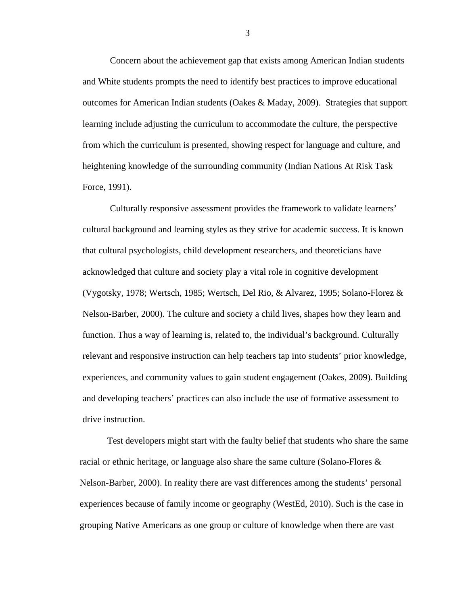Concern about the achievement gap that exists among American Indian students and White students prompts the need to identify best practices to improve educational outcomes for American Indian students (Oakes & Maday, 2009). Strategies that support learning include adjusting the curriculum to accommodate the culture, the perspective from which the curriculum is presented, showing respect for language and culture, and heightening knowledge of the surrounding community (Indian Nations At Risk Task Force, 1991).

Culturally responsive assessment provides the framework to validate learners' cultural background and learning styles as they strive for academic success. It is known that cultural psychologists, child development researchers, and theoreticians have acknowledged that culture and society play a vital role in cognitive development (Vygotsky, 1978; Wertsch, 1985; Wertsch, Del Rio, & Alvarez, 1995; Solano-Florez & Nelson-Barber, 2000). The culture and society a child lives, shapes how they learn and function. Thus a way of learning is, related to, the individual's background. Culturally relevant and responsive instruction can help teachers tap into students' prior knowledge, experiences, and community values to gain student engagement (Oakes, 2009). Building and developing teachers' practices can also include the use of formative assessment to drive instruction.

Test developers might start with the faulty belief that students who share the same racial or ethnic heritage, or language also share the same culture (Solano-Flores & Nelson-Barber, 2000). In reality there are vast differences among the students' personal experiences because of family income or geography (WestEd, 2010). Such is the case in grouping Native Americans as one group or culture of knowledge when there are vast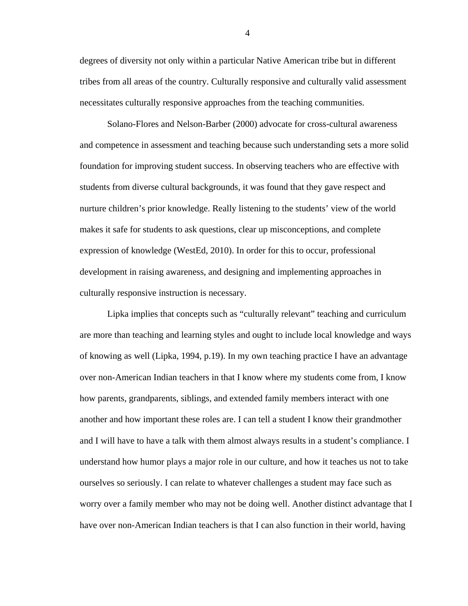degrees of diversity not only within a particular Native American tribe but in different tribes from all areas of the country. Culturally responsive and culturally valid assessment necessitates culturally responsive approaches from the teaching communities.

Solano-Flores and Nelson-Barber (2000) advocate for cross-cultural awareness and competence in assessment and teaching because such understanding sets a more solid foundation for improving student success. In observing teachers who are effective with students from diverse cultural backgrounds, it was found that they gave respect and nurture children's prior knowledge. Really listening to the students' view of the world makes it safe for students to ask questions, clear up misconceptions, and complete expression of knowledge (WestEd, 2010). In order for this to occur, professional development in raising awareness, and designing and implementing approaches in culturally responsive instruction is necessary.

Lipka implies that concepts such as "culturally relevant" teaching and curriculum are more than teaching and learning styles and ought to include local knowledge and ways of knowing as well (Lipka, 1994, p.19). In my own teaching practice I have an advantage over non-American Indian teachers in that I know where my students come from, I know how parents, grandparents, siblings, and extended family members interact with one another and how important these roles are. I can tell a student I know their grandmother and I will have to have a talk with them almost always results in a student's compliance. I understand how humor plays a major role in our culture, and how it teaches us not to take ourselves so seriously. I can relate to whatever challenges a student may face such as worry over a family member who may not be doing well. Another distinct advantage that I have over non-American Indian teachers is that I can also function in their world, having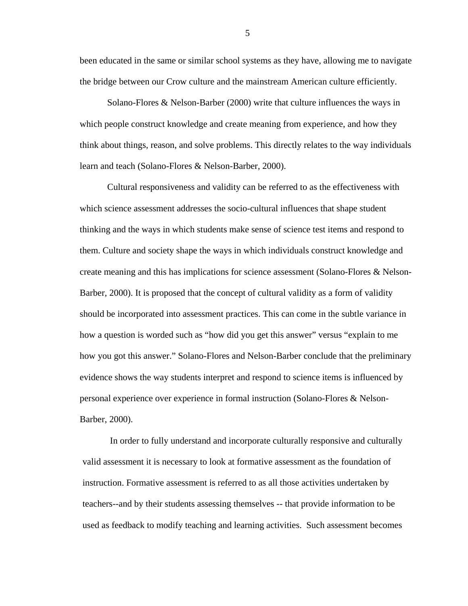been educated in the same or similar school systems as they have, allowing me to navigate the bridge between our Crow culture and the mainstream American culture efficiently.

Solano-Flores & Nelson-Barber (2000) write that culture influences the ways in which people construct knowledge and create meaning from experience, and how they think about things, reason, and solve problems. This directly relates to the way individuals learn and teach (Solano-Flores & Nelson-Barber, 2000).

Cultural responsiveness and validity can be referred to as the effectiveness with which science assessment addresses the socio-cultural influences that shape student thinking and the ways in which students make sense of science test items and respond to them. Culture and society shape the ways in which individuals construct knowledge and create meaning and this has implications for science assessment (Solano-Flores & Nelson-Barber, 2000). It is proposed that the concept of cultural validity as a form of validity should be incorporated into assessment practices. This can come in the subtle variance in how a question is worded such as "how did you get this answer" versus "explain to me how you got this answer." Solano-Flores and Nelson-Barber conclude that the preliminary evidence shows the way students interpret and respond to science items is influenced by personal experience over experience in formal instruction (Solano-Flores & Nelson-Barber, 2000).

In order to fully understand and incorporate culturally responsive and culturally valid assessment it is necessary to look at formative assessment as the foundation of instruction. Formative assessment is referred to as all those activities undertaken by teachers--and by their students assessing themselves -- that provide information to be used as feedback to modify teaching and learning activities. Such assessment becomes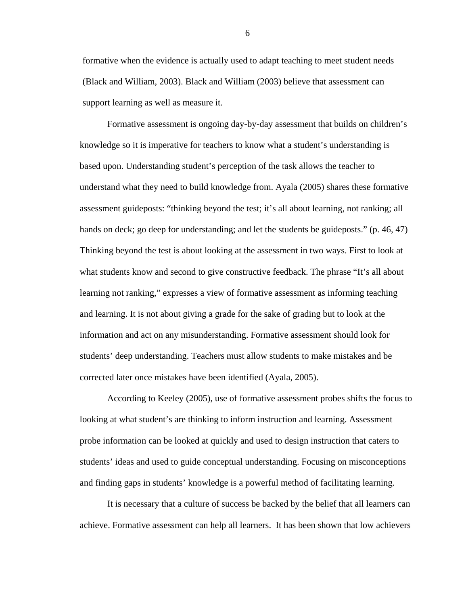formative when the evidence is actually used to adapt teaching to meet student needs (Black and William, 2003). Black and William (2003) believe that assessment can support learning as well as measure it.

Formative assessment is ongoing day-by-day assessment that builds on children's knowledge so it is imperative for teachers to know what a student's understanding is based upon. Understanding student's perception of the task allows the teacher to understand what they need to build knowledge from. Ayala (2005) shares these formative assessment guideposts: "thinking beyond the test; it's all about learning, not ranking; all hands on deck; go deep for understanding; and let the students be guideposts." (p. 46, 47) Thinking beyond the test is about looking at the assessment in two ways. First to look at what students know and second to give constructive feedback. The phrase "It's all about learning not ranking," expresses a view of formative assessment as informing teaching and learning. It is not about giving a grade for the sake of grading but to look at the information and act on any misunderstanding. Formative assessment should look for students' deep understanding. Teachers must allow students to make mistakes and be corrected later once mistakes have been identified (Ayala, 2005).

According to Keeley (2005), use of formative assessment probes shifts the focus to looking at what student's are thinking to inform instruction and learning. Assessment probe information can be looked at quickly and used to design instruction that caters to students' ideas and used to guide conceptual understanding. Focusing on misconceptions and finding gaps in students' knowledge is a powerful method of facilitating learning.

It is necessary that a culture of success be backed by the belief that all learners can achieve. Formative assessment can help all learners. It has been shown that low achievers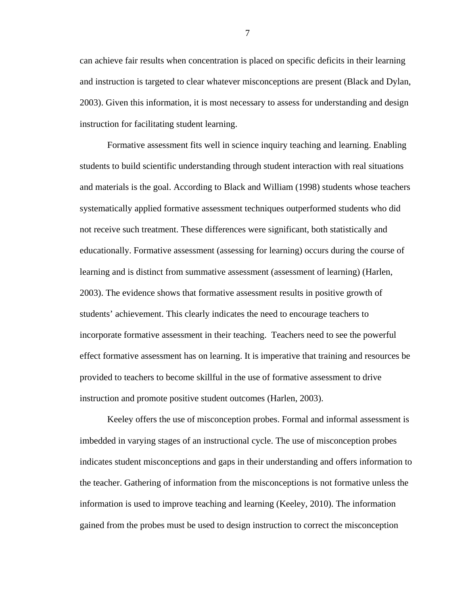can achieve fair results when concentration is placed on specific deficits in their learning and instruction is targeted to clear whatever misconceptions are present (Black and Dylan, 2003). Given this information, it is most necessary to assess for understanding and design instruction for facilitating student learning.

Formative assessment fits well in science inquiry teaching and learning. Enabling students to build scientific understanding through student interaction with real situations and materials is the goal. According to Black and William (1998) students whose teachers systematically applied formative assessment techniques outperformed students who did not receive such treatment. These differences were significant, both statistically and educationally. Formative assessment (assessing for learning) occurs during the course of learning and is distinct from summative assessment (assessment of learning) (Harlen, 2003). The evidence shows that formative assessment results in positive growth of students' achievement. This clearly indicates the need to encourage teachers to incorporate formative assessment in their teaching. Teachers need to see the powerful effect formative assessment has on learning. It is imperative that training and resources be provided to teachers to become skillful in the use of formative assessment to drive instruction and promote positive student outcomes (Harlen, 2003).

Keeley offers the use of misconception probes. Formal and informal assessment is imbedded in varying stages of an instructional cycle. The use of misconception probes indicates student misconceptions and gaps in their understanding and offers information to the teacher. Gathering of information from the misconceptions is not formative unless the information is used to improve teaching and learning (Keeley, 2010). The information gained from the probes must be used to design instruction to correct the misconception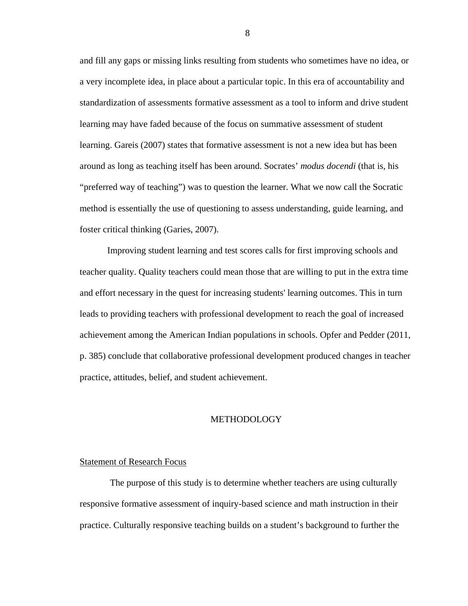and fill any gaps or missing links resulting from students who sometimes have no idea, or a very incomplete idea, in place about a particular topic. In this era of accountability and standardization of assessments formative assessment as a tool to inform and drive student learning may have faded because of the focus on summative assessment of student learning. Gareis (2007) states that formative assessment is not a new idea but has been around as long as teaching itself has been around. Socrates' *modus docendi* (that is, his "preferred way of teaching") was to question the learner. What we now call the Socratic method is essentially the use of questioning to assess understanding, guide learning, and foster critical thinking (Garies, 2007).

Improving student learning and test scores calls for first improving schools and teacher quality. Quality teachers could mean those that are willing to put in the extra time and effort necessary in the quest for increasing students' learning outcomes. This in turn leads to providing teachers with professional development to reach the goal of increased achievement among the American Indian populations in schools. Opfer and Pedder (2011, p. 385) conclude that collaborative professional development produced changes in teacher practice, attitudes, belief, and student achievement.

#### METHODOLOGY

#### Statement of Research Focus

The purpose of this study is to determine whether teachers are using culturally responsive formative assessment of inquiry-based science and math instruction in their practice. Culturally responsive teaching builds on a student's background to further the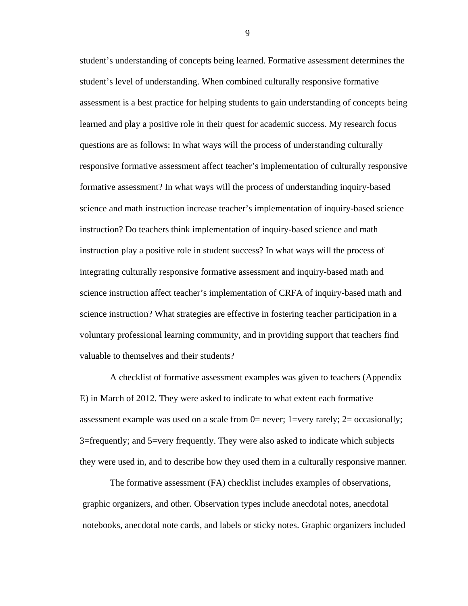student's understanding of concepts being learned. Formative assessment determines the student's level of understanding. When combined culturally responsive formative assessment is a best practice for helping students to gain understanding of concepts being learned and play a positive role in their quest for academic success. My research focus questions are as follows: In what ways will the process of understanding culturally responsive formative assessment affect teacher's implementation of culturally responsive formative assessment? In what ways will the process of understanding inquiry-based science and math instruction increase teacher's implementation of inquiry-based science instruction? Do teachers think implementation of inquiry-based science and math instruction play a positive role in student success? In what ways will the process of integrating culturally responsive formative assessment and inquiry-based math and science instruction affect teacher's implementation of CRFA of inquiry-based math and science instruction? What strategies are effective in fostering teacher participation in a voluntary professional learning community, and in providing support that teachers find valuable to themselves and their students?

A checklist of formative assessment examples was given to teachers (Appendix E) in March of 2012. They were asked to indicate to what extent each formative assessment example was used on a scale from 0= never; 1=very rarely; 2= occasionally; 3=frequently; and 5=very frequently. They were also asked to indicate which subjects they were used in, and to describe how they used them in a culturally responsive manner.

The formative assessment (FA) checklist includes examples of observations, graphic organizers, and other. Observation types include anecdotal notes, anecdotal notebooks, anecdotal note cards, and labels or sticky notes. Graphic organizers included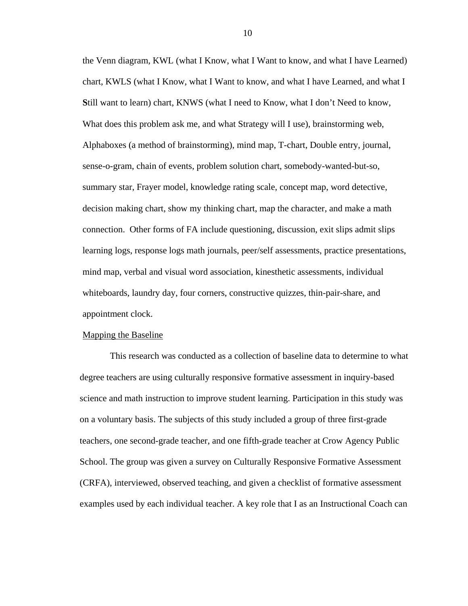the Venn diagram, KWL (what I Know, what I Want to know, and what I have Learned) chart, KWLS (what I Know, what I Want to know, and what I have Learned, and what I **S**till want to learn) chart, KNWS (what I need to Know, what I don't Need to know, What does this problem ask me, and what Strategy will I use), brainstorming web, Alphaboxes (a method of brainstorming), mind map, T-chart, Double entry, journal, sense-o-gram, chain of events, problem solution chart, somebody-wanted-but-so, summary star, Frayer model, knowledge rating scale, concept map, word detective, decision making chart, show my thinking chart, map the character, and make a math connection. Other forms of FA include questioning, discussion, exit slips admit slips learning logs, response logs math journals, peer/self assessments, practice presentations, mind map, verbal and visual word association, kinesthetic assessments, individual whiteboards, laundry day, four corners, constructive quizzes, thin-pair-share, and appointment clock.

#### Mapping the Baseline

This research was conducted as a collection of baseline data to determine to what degree teachers are using culturally responsive formative assessment in inquiry-based science and math instruction to improve student learning. Participation in this study was on a voluntary basis. The subjects of this study included a group of three first-grade teachers, one second-grade teacher, and one fifth-grade teacher at Crow Agency Public School. The group was given a survey on Culturally Responsive Formative Assessment (CRFA), interviewed, observed teaching, and given a checklist of formative assessment examples used by each individual teacher. A key role that I as an Instructional Coach can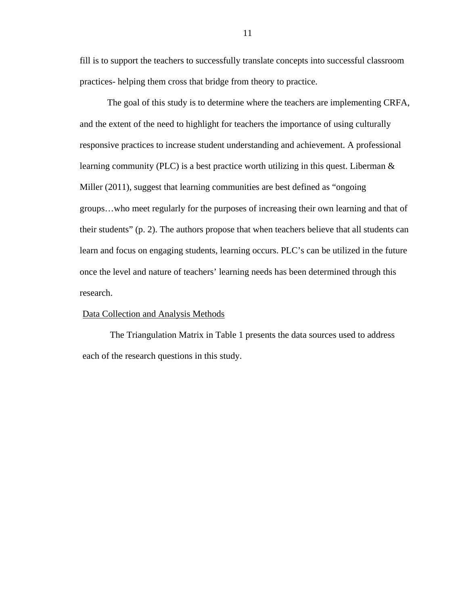fill is to support the teachers to successfully translate concepts into successful classroom practices- helping them cross that bridge from theory to practice.

The goal of this study is to determine where the teachers are implementing CRFA, and the extent of the need to highlight for teachers the importance of using culturally responsive practices to increase student understanding and achievement. A professional learning community (PLC) is a best practice worth utilizing in this quest. Liberman & Miller (2011), suggest that learning communities are best defined as "ongoing groups…who meet regularly for the purposes of increasing their own learning and that of their students" (p. 2). The authors propose that when teachers believe that all students can learn and focus on engaging students, learning occurs. PLC's can be utilized in the future once the level and nature of teachers' learning needs has been determined through this research.

#### Data Collection and Analysis Methods

The Triangulation Matrix in Table 1 presents the data sources used to address each of the research questions in this study.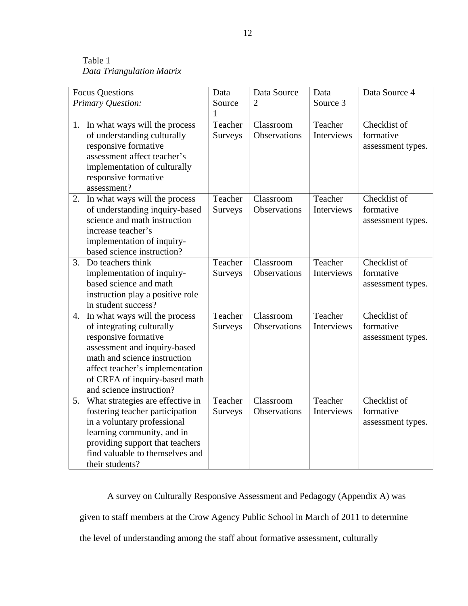Table 1 *Data Triangulation Matrix*

| <b>Focus Questions</b>                                  | Data    | Data Source    | Data              | Data Source 4     |
|---------------------------------------------------------|---------|----------------|-------------------|-------------------|
| Primary Question:                                       | Source  | $\overline{2}$ | Source 3          |                   |
|                                                         | 1       |                |                   |                   |
| 1. In what ways will the process                        | Teacher | Classroom      | Teacher           | Checklist of      |
| of understanding culturally                             | Surveys | Observations   | <b>Interviews</b> | formative         |
| responsive formative                                    |         |                |                   | assessment types. |
| assessment affect teacher's                             |         |                |                   |                   |
| implementation of culturally                            |         |                |                   |                   |
| responsive formative                                    |         |                |                   |                   |
| assessment?                                             |         |                |                   |                   |
| In what ways will the process<br>2.                     | Teacher | Classroom      | Teacher           | Checklist of      |
| of understanding inquiry-based                          | Surveys | Observations   | <b>Interviews</b> | formative         |
| science and math instruction                            |         |                |                   | assessment types. |
| increase teacher's                                      |         |                |                   |                   |
| implementation of inquiry-                              |         |                |                   |                   |
| based science instruction?                              |         |                |                   |                   |
| Do teachers think<br>3.                                 | Teacher | Classroom      | Teacher           | Checklist of      |
| implementation of inquiry-                              | Surveys | Observations   | <b>Interviews</b> | formative         |
| based science and math                                  |         |                |                   | assessment types. |
| instruction play a positive role<br>in student success? |         |                |                   |                   |
| In what ways will the process<br>4.                     | Teacher | Classroom      | Teacher           | Checklist of      |
| of integrating culturally                               | Surveys | Observations   | Interviews        | formative         |
| responsive formative                                    |         |                |                   | assessment types. |
| assessment and inquiry-based                            |         |                |                   |                   |
| math and science instruction                            |         |                |                   |                   |
| affect teacher's implementation                         |         |                |                   |                   |
| of CRFA of inquiry-based math                           |         |                |                   |                   |
| and science instruction?                                |         |                |                   |                   |
| What strategies are effective in<br>5.                  | Teacher | Classroom      | Teacher           | Checklist of      |
| fostering teacher participation                         | Surveys | Observations   | <b>Interviews</b> | formative         |
| in a voluntary professional                             |         |                |                   | assessment types. |
| learning community, and in                              |         |                |                   |                   |
| providing support that teachers                         |         |                |                   |                   |
| find valuable to themselves and                         |         |                |                   |                   |
| their students?                                         |         |                |                   |                   |

A survey on Culturally Responsive Assessment and Pedagogy (Appendix A) was given to staff members at the Crow Agency Public School in March of 2011 to determine the level of understanding among the staff about formative assessment, culturally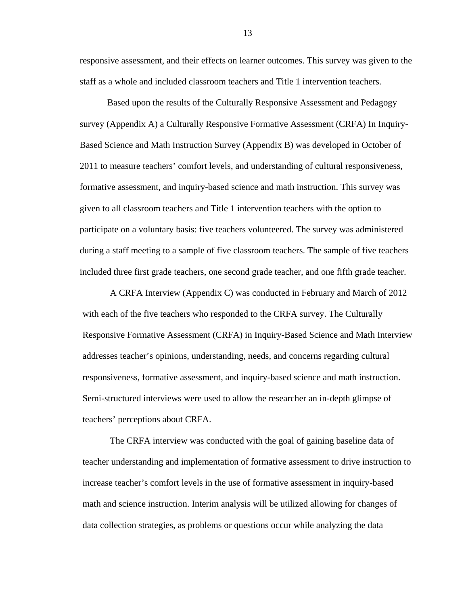responsive assessment, and their effects on learner outcomes. This survey was given to the staff as a whole and included classroom teachers and Title 1 intervention teachers.

Based upon the results of the Culturally Responsive Assessment and Pedagogy survey (Appendix A) a Culturally Responsive Formative Assessment (CRFA) In Inquiry-Based Science and Math Instruction Survey (Appendix B) was developed in October of 2011 to measure teachers' comfort levels, and understanding of cultural responsiveness, formative assessment, and inquiry-based science and math instruction. This survey was given to all classroom teachers and Title 1 intervention teachers with the option to participate on a voluntary basis: five teachers volunteered. The survey was administered during a staff meeting to a sample of five classroom teachers. The sample of five teachers included three first grade teachers, one second grade teacher, and one fifth grade teacher.

A CRFA Interview (Appendix C) was conducted in February and March of 2012 with each of the five teachers who responded to the CRFA survey. The Culturally Responsive Formative Assessment (CRFA) in Inquiry-Based Science and Math Interview addresses teacher's opinions, understanding, needs, and concerns regarding cultural responsiveness, formative assessment, and inquiry-based science and math instruction. Semi-structured interviews were used to allow the researcher an in-depth glimpse of teachers' perceptions about CRFA.

The CRFA interview was conducted with the goal of gaining baseline data of teacher understanding and implementation of formative assessment to drive instruction to increase teacher's comfort levels in the use of formative assessment in inquiry-based math and science instruction. Interim analysis will be utilized allowing for changes of data collection strategies, as problems or questions occur while analyzing the data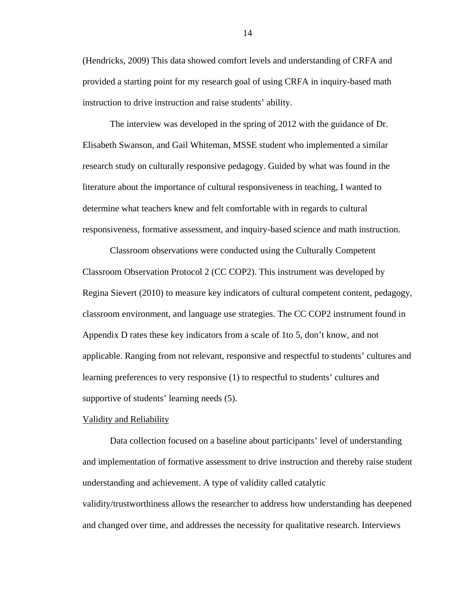(Hendricks, 2009) This data showed comfort levels and understanding of CRFA and provided a starting point for my research goal of using CRFA in inquiry-based math instruction to drive instruction and raise students' ability.

The interview was developed in the spring of 2012 with the guidance of Dr. Elisabeth Swanson, and Gail Whiteman, MSSE student who implemented a similar research study on culturally responsive pedagogy. Guided by what was found in the literature about the importance of cultural responsiveness in teaching, I wanted to determine what teachers knew and felt comfortable with in regards to cultural responsiveness, formative assessment, and inquiry-based science and math instruction.

Classroom observations were conducted using the Culturally Competent Classroom Observation Protocol 2 (CC COP2). This instrument was developed by Regina Sievert (2010) to measure key indicators of cultural competent content, pedagogy, classroom environment, and language use strategies. The CC COP2 instrument found in Appendix D rates these key indicators from a scale of 1to 5, don't know, and not applicable. Ranging from not relevant, responsive and respectful to students' cultures and learning preferences to very responsive (1) to respectful to students' cultures and supportive of students' learning needs (5).

#### Validity and Reliability

Data collection focused on a baseline about participants' level of understanding and implementation of formative assessment to drive instruction and thereby raise student understanding and achievement. A type of validity called catalytic validity/trustworthiness allows the researcher to address how understanding has deepened and changed over time, and addresses the necessity for qualitative research. Interviews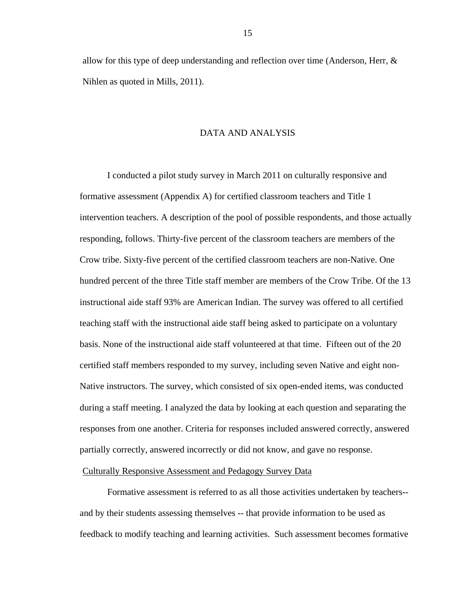allow for this type of deep understanding and reflection over time (Anderson, Herr, & Nihlen as quoted in Mills, 2011).

#### DATA AND ANALYSIS

I conducted a pilot study survey in March 2011 on culturally responsive and formative assessment (Appendix A) for certified classroom teachers and Title 1 intervention teachers. A description of the pool of possible respondents, and those actually responding, follows. Thirty-five percent of the classroom teachers are members of the Crow tribe. Sixty-five percent of the certified classroom teachers are non-Native. One hundred percent of the three Title staff member are members of the Crow Tribe. Of the 13 instructional aide staff 93% are American Indian. The survey was offered to all certified teaching staff with the instructional aide staff being asked to participate on a voluntary basis. None of the instructional aide staff volunteered at that time. Fifteen out of the 20 certified staff members responded to my survey, including seven Native and eight non-Native instructors. The survey, which consisted of six open-ended items, was conducted during a staff meeting. I analyzed the data by looking at each question and separating the responses from one another. Criteria for responses included answered correctly, answered partially correctly, answered incorrectly or did not know, and gave no response.

#### Culturally Responsive Assessment and Pedagogy Survey Data

Formative assessment is referred to as all those activities undertaken by teachers- and by their students assessing themselves -- that provide information to be used as feedback to modify teaching and learning activities. Such assessment becomes formative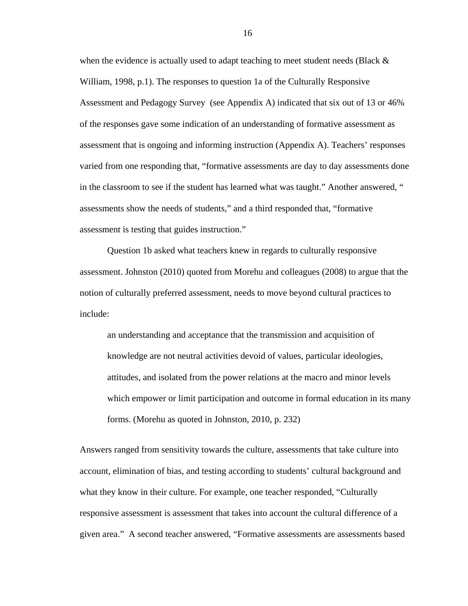when the evidence is actually used to adapt teaching to meet student needs (Black  $\&$ William, 1998, p.1). The responses to question 1a of the Culturally Responsive Assessment and Pedagogy Survey (see Appendix A) indicated that six out of 13 or 46% of the responses gave some indication of an understanding of formative assessment as assessment that is ongoing and informing instruction (Appendix A). Teachers' responses varied from one responding that, "formative assessments are day to day assessments done in the classroom to see if the student has learned what was taught." Another answered, " assessments show the needs of students," and a third responded that, "formative assessment is testing that guides instruction."

Question 1b asked what teachers knew in regards to culturally responsive assessment. Johnston (2010) quoted from Morehu and colleagues (2008) to argue that the notion of culturally preferred assessment, needs to move beyond cultural practices to include:

an understanding and acceptance that the transmission and acquisition of knowledge are not neutral activities devoid of values, particular ideologies, attitudes, and isolated from the power relations at the macro and minor levels which empower or limit participation and outcome in formal education in its many forms. (Morehu as quoted in Johnston, 2010, p. 232)

Answers ranged from sensitivity towards the culture, assessments that take culture into account, elimination of bias, and testing according to students' cultural background and what they know in their culture. For example, one teacher responded, "Culturally responsive assessment is assessment that takes into account the cultural difference of a given area." A second teacher answered, "Formative assessments are assessments based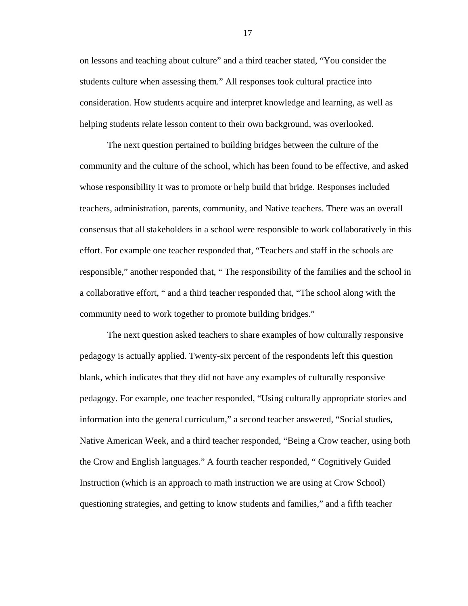on lessons and teaching about culture" and a third teacher stated, "You consider the students culture when assessing them." All responses took cultural practice into consideration. How students acquire and interpret knowledge and learning, as well as helping students relate lesson content to their own background, was overlooked.

The next question pertained to building bridges between the culture of the community and the culture of the school, which has been found to be effective, and asked whose responsibility it was to promote or help build that bridge. Responses included teachers, administration, parents, community, and Native teachers. There was an overall consensus that all stakeholders in a school were responsible to work collaboratively in this effort. For example one teacher responded that, "Teachers and staff in the schools are responsible," another responded that, " The responsibility of the families and the school in a collaborative effort, " and a third teacher responded that, "The school along with the community need to work together to promote building bridges."

The next question asked teachers to share examples of how culturally responsive pedagogy is actually applied. Twenty-six percent of the respondents left this question blank, which indicates that they did not have any examples of culturally responsive pedagogy. For example, one teacher responded, "Using culturally appropriate stories and information into the general curriculum," a second teacher answered, "Social studies, Native American Week, and a third teacher responded, "Being a Crow teacher, using both the Crow and English languages." A fourth teacher responded, " Cognitively Guided Instruction (which is an approach to math instruction we are using at Crow School) questioning strategies, and getting to know students and families," and a fifth teacher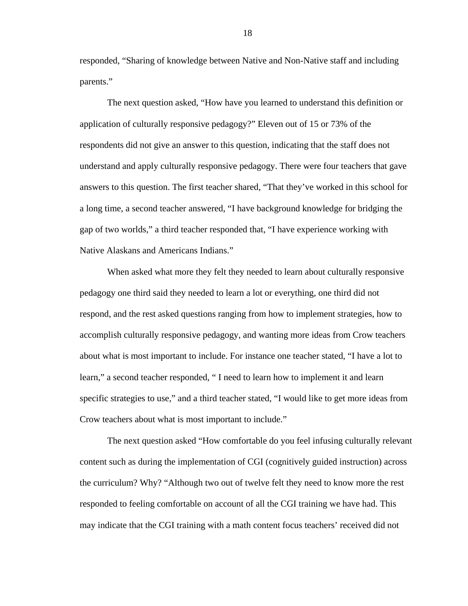responded, "Sharing of knowledge between Native and Non-Native staff and including parents."

The next question asked, "How have you learned to understand this definition or application of culturally responsive pedagogy?" Eleven out of 15 or 73% of the respondents did not give an answer to this question, indicating that the staff does not understand and apply culturally responsive pedagogy. There were four teachers that gave answers to this question. The first teacher shared, "That they've worked in this school for a long time, a second teacher answered, "I have background knowledge for bridging the gap of two worlds," a third teacher responded that, "I have experience working with Native Alaskans and Americans Indians."

When asked what more they felt they needed to learn about culturally responsive pedagogy one third said they needed to learn a lot or everything, one third did not respond, and the rest asked questions ranging from how to implement strategies, how to accomplish culturally responsive pedagogy, and wanting more ideas from Crow teachers about what is most important to include. For instance one teacher stated, "I have a lot to learn," a second teacher responded, " I need to learn how to implement it and learn specific strategies to use," and a third teacher stated, "I would like to get more ideas from Crow teachers about what is most important to include."

The next question asked "How comfortable do you feel infusing culturally relevant content such as during the implementation of CGI (cognitively guided instruction) across the curriculum? Why? "Although two out of twelve felt they need to know more the rest responded to feeling comfortable on account of all the CGI training we have had. This may indicate that the CGI training with a math content focus teachers' received did not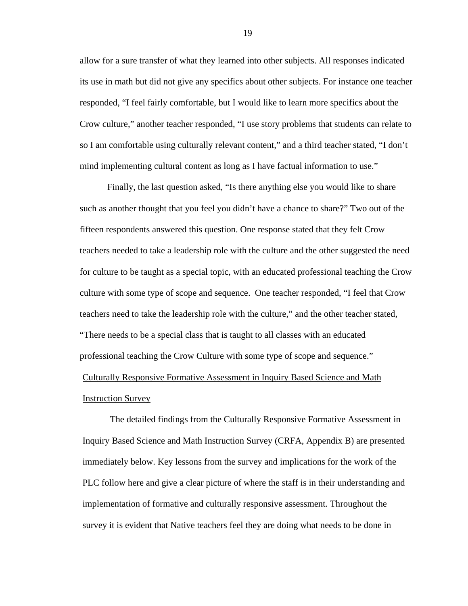allow for a sure transfer of what they learned into other subjects. All responses indicated its use in math but did not give any specifics about other subjects. For instance one teacher responded, "I feel fairly comfortable, but I would like to learn more specifics about the Crow culture," another teacher responded, "I use story problems that students can relate to so I am comfortable using culturally relevant content," and a third teacher stated, "I don't mind implementing cultural content as long as I have factual information to use."

Finally, the last question asked, "Is there anything else you would like to share such as another thought that you feel you didn't have a chance to share?" Two out of the fifteen respondents answered this question. One response stated that they felt Crow teachers needed to take a leadership role with the culture and the other suggested the need for culture to be taught as a special topic, with an educated professional teaching the Crow culture with some type of scope and sequence. One teacher responded, "I feel that Crow teachers need to take the leadership role with the culture," and the other teacher stated, "There needs to be a special class that is taught to all classes with an educated professional teaching the Crow Culture with some type of scope and sequence." Culturally Responsive Formative Assessment in Inquiry Based Science and Math Instruction Survey

The detailed findings from the Culturally Responsive Formative Assessment in Inquiry Based Science and Math Instruction Survey (CRFA, Appendix B) are presented immediately below. Key lessons from the survey and implications for the work of the PLC follow here and give a clear picture of where the staff is in their understanding and implementation of formative and culturally responsive assessment. Throughout the survey it is evident that Native teachers feel they are doing what needs to be done in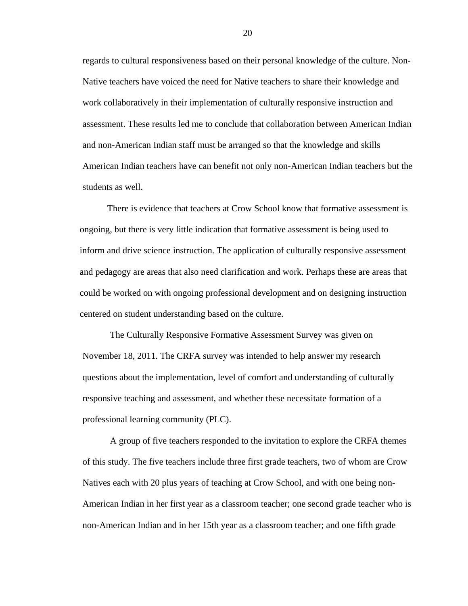regards to cultural responsiveness based on their personal knowledge of the culture. Non-Native teachers have voiced the need for Native teachers to share their knowledge and work collaboratively in their implementation of culturally responsive instruction and assessment. These results led me to conclude that collaboration between American Indian and non-American Indian staff must be arranged so that the knowledge and skills American Indian teachers have can benefit not only non-American Indian teachers but the students as well.

There is evidence that teachers at Crow School know that formative assessment is ongoing, but there is very little indication that formative assessment is being used to inform and drive science instruction. The application of culturally responsive assessment and pedagogy are areas that also need clarification and work. Perhaps these are areas that could be worked on with ongoing professional development and on designing instruction centered on student understanding based on the culture.

The Culturally Responsive Formative Assessment Survey was given on November 18, 2011. The CRFA survey was intended to help answer my research questions about the implementation, level of comfort and understanding of culturally responsive teaching and assessment, and whether these necessitate formation of a professional learning community (PLC).

A group of five teachers responded to the invitation to explore the CRFA themes of this study. The five teachers include three first grade teachers, two of whom are Crow Natives each with 20 plus years of teaching at Crow School, and with one being non-American Indian in her first year as a classroom teacher; one second grade teacher who is non-American Indian and in her 15th year as a classroom teacher; and one fifth grade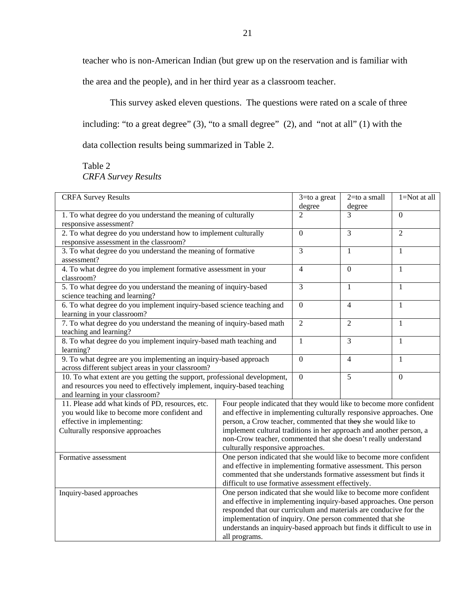teacher who is non-American Indian (but grew up on the reservation and is familiar with

the area and the people), and in her third year as a classroom teacher.

This survey asked eleven questions. The questions were rated on a scale of three including: "to a great degree" (3), "to a small degree" (2), and "not at all" (1) with the data collection results being summarized in Table 2.

## Table 2 *CRFA Survey Results*

| <b>CRFA Survey Results</b>                                                                                                                                                              |                                                                                                                                      | $3 =$ to a great | $2 =$ to a small | 1=Not at all   |  |
|-----------------------------------------------------------------------------------------------------------------------------------------------------------------------------------------|--------------------------------------------------------------------------------------------------------------------------------------|------------------|------------------|----------------|--|
|                                                                                                                                                                                         |                                                                                                                                      | degree           | degree           |                |  |
| 1. To what degree do you understand the meaning of culturally<br>responsive assessment?                                                                                                 |                                                                                                                                      | $\overline{2}$   | 3                | $\overline{0}$ |  |
| 2. To what degree do you understand how to implement culturally                                                                                                                         | $\mathbf{0}$                                                                                                                         | 3                | $\overline{2}$   |                |  |
| responsive assessment in the classroom?                                                                                                                                                 |                                                                                                                                      |                  |                  |                |  |
| 3. To what degree do you understand the meaning of formative<br>assessment?                                                                                                             | $\overline{3}$                                                                                                                       | $\mathbf{1}$     | $\mathbf{1}$     |                |  |
| 4. To what degree do you implement formative assessment in your<br>classroom?                                                                                                           | $\overline{4}$                                                                                                                       | $\overline{0}$   | $\mathbf{1}$     |                |  |
| 5. To what degree do you understand the meaning of inquiry-based<br>science teaching and learning?                                                                                      | 3                                                                                                                                    | $\mathbf{1}$     | $\mathbf{1}$     |                |  |
| 6. To what degree do you implement inquiry-based science teaching and<br>learning in your classroom?                                                                                    | $\boldsymbol{0}$                                                                                                                     | $\overline{4}$   | $\mathbf{1}$     |                |  |
| 7. To what degree do you understand the meaning of inquiry-based math<br>teaching and learning?                                                                                         | $\overline{2}$                                                                                                                       | $\overline{2}$   | 1                |                |  |
| 8. To what degree do you implement inquiry-based math teaching and<br>learning?                                                                                                         | 1                                                                                                                                    | 3                | $\mathbf{1}$     |                |  |
| 9. To what degree are you implementing an inquiry-based approach<br>across different subject areas in your classroom?                                                                   | $\overline{0}$                                                                                                                       | $\overline{4}$   | $\mathbf{1}$     |                |  |
| 10. To what extent are you getting the support, professional development,<br>and resources you need to effectively implement, inquiry-based teaching<br>and learning in your classroom? | $\overline{0}$                                                                                                                       | 5                | $\overline{0}$   |                |  |
| 11. Please add what kinds of PD, resources, etc.                                                                                                                                        | Four people indicated that they would like to become more confident                                                                  |                  |                  |                |  |
| you would like to become more confident and                                                                                                                                             |                                                                                                                                      |                  |                  |                |  |
| effective in implementing:                                                                                                                                                              | and effective in implementing culturally responsive approaches. One<br>person, a Crow teacher, commented that they she would like to |                  |                  |                |  |
| Culturally responsive approaches                                                                                                                                                        | implement cultural traditions in her approach and another person, a                                                                  |                  |                  |                |  |
|                                                                                                                                                                                         | non-Crow teacher, commented that she doesn't really understand                                                                       |                  |                  |                |  |
|                                                                                                                                                                                         | culturally responsive approaches.                                                                                                    |                  |                  |                |  |
| Formative assessment                                                                                                                                                                    | One person indicated that she would like to become more confident                                                                    |                  |                  |                |  |
|                                                                                                                                                                                         | and effective in implementing formative assessment. This person                                                                      |                  |                  |                |  |
|                                                                                                                                                                                         | commented that she understands formative assessment but finds it                                                                     |                  |                  |                |  |
|                                                                                                                                                                                         | difficult to use formative assessment effectively.                                                                                   |                  |                  |                |  |
| Inquiry-based approaches                                                                                                                                                                | One person indicated that she would like to become more confident                                                                    |                  |                  |                |  |
|                                                                                                                                                                                         | and effective in implementing inquiry-based approaches. One person                                                                   |                  |                  |                |  |
|                                                                                                                                                                                         | responded that our curriculum and materials are conducive for the                                                                    |                  |                  |                |  |
|                                                                                                                                                                                         | implementation of inquiry. One person commented that she                                                                             |                  |                  |                |  |
|                                                                                                                                                                                         | understands an inquiry-based approach but finds it difficult to use in                                                               |                  |                  |                |  |
|                                                                                                                                                                                         | all programs.                                                                                                                        |                  |                  |                |  |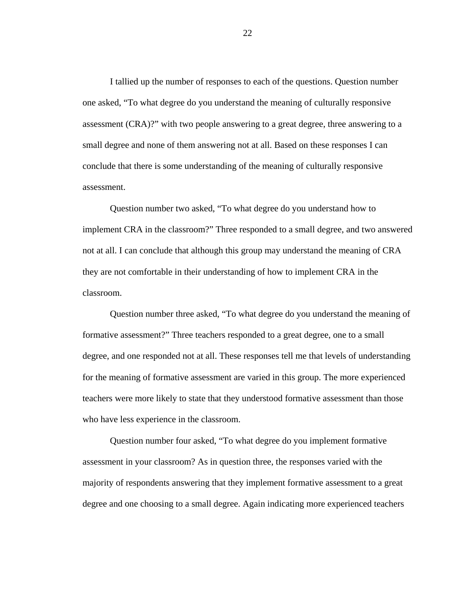I tallied up the number of responses to each of the questions. Question number one asked, "To what degree do you understand the meaning of culturally responsive assessment (CRA)?" with two people answering to a great degree, three answering to a small degree and none of them answering not at all. Based on these responses I can conclude that there is some understanding of the meaning of culturally responsive assessment.

Question number two asked, "To what degree do you understand how to implement CRA in the classroom?" Three responded to a small degree, and two answered not at all. I can conclude that although this group may understand the meaning of CRA they are not comfortable in their understanding of how to implement CRA in the classroom.

Question number three asked, "To what degree do you understand the meaning of formative assessment?" Three teachers responded to a great degree, one to a small degree, and one responded not at all. These responses tell me that levels of understanding for the meaning of formative assessment are varied in this group. The more experienced teachers were more likely to state that they understood formative assessment than those who have less experience in the classroom.

Question number four asked, "To what degree do you implement formative assessment in your classroom? As in question three, the responses varied with the majority of respondents answering that they implement formative assessment to a great degree and one choosing to a small degree. Again indicating more experienced teachers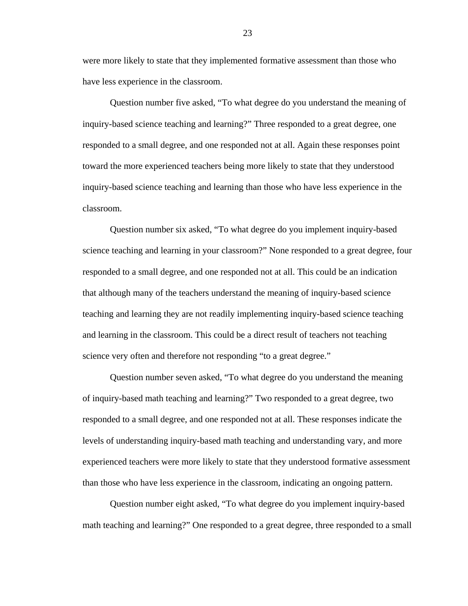were more likely to state that they implemented formative assessment than those who have less experience in the classroom.

Question number five asked, "To what degree do you understand the meaning of inquiry-based science teaching and learning?" Three responded to a great degree, one responded to a small degree, and one responded not at all. Again these responses point toward the more experienced teachers being more likely to state that they understood inquiry-based science teaching and learning than those who have less experience in the classroom.

Question number six asked, "To what degree do you implement inquiry-based science teaching and learning in your classroom?" None responded to a great degree, four responded to a small degree, and one responded not at all. This could be an indication that although many of the teachers understand the meaning of inquiry-based science teaching and learning they are not readily implementing inquiry-based science teaching and learning in the classroom. This could be a direct result of teachers not teaching science very often and therefore not responding "to a great degree."

Question number seven asked, "To what degree do you understand the meaning of inquiry-based math teaching and learning?" Two responded to a great degree, two responded to a small degree, and one responded not at all. These responses indicate the levels of understanding inquiry-based math teaching and understanding vary, and more experienced teachers were more likely to state that they understood formative assessment than those who have less experience in the classroom, indicating an ongoing pattern.

Question number eight asked, "To what degree do you implement inquiry-based math teaching and learning?" One responded to a great degree, three responded to a small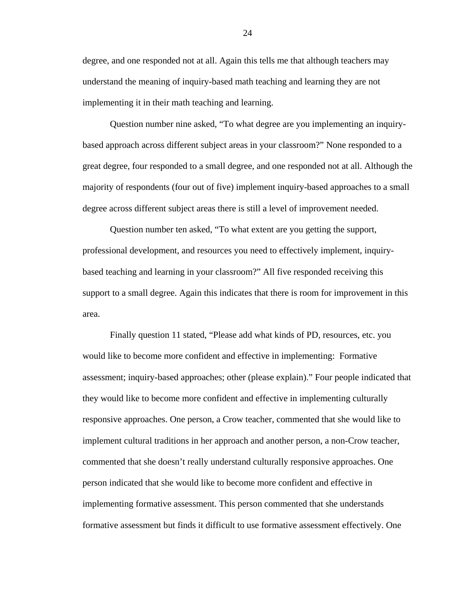degree, and one responded not at all. Again this tells me that although teachers may understand the meaning of inquiry-based math teaching and learning they are not implementing it in their math teaching and learning.

Question number nine asked, "To what degree are you implementing an inquirybased approach across different subject areas in your classroom?" None responded to a great degree, four responded to a small degree, and one responded not at all. Although the majority of respondents (four out of five) implement inquiry-based approaches to a small degree across different subject areas there is still a level of improvement needed.

Question number ten asked, "To what extent are you getting the support, professional development, and resources you need to effectively implement, inquirybased teaching and learning in your classroom?" All five responded receiving this support to a small degree. Again this indicates that there is room for improvement in this area.

Finally question 11 stated, "Please add what kinds of PD, resources, etc. you would like to become more confident and effective in implementing: Formative assessment; inquiry-based approaches; other (please explain)." Four people indicated that they would like to become more confident and effective in implementing culturally responsive approaches. One person, a Crow teacher, commented that she would like to implement cultural traditions in her approach and another person, a non-Crow teacher, commented that she doesn't really understand culturally responsive approaches. One person indicated that she would like to become more confident and effective in implementing formative assessment. This person commented that she understands formative assessment but finds it difficult to use formative assessment effectively. One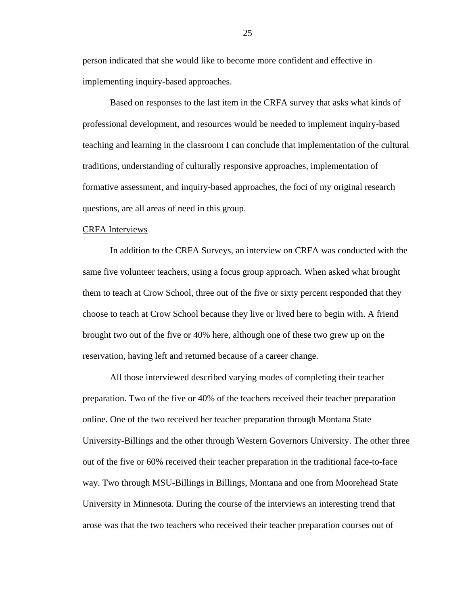person indicated that she would like to become more confident and effective in implementing inquiry-based approaches.

Based on responses to the last item in the CRFA survey that asks what kinds of professional development, and resources would be needed to implement inquiry-based teaching and learning in the classroom I can conclude that implementation of the cultural traditions, understanding of culturally responsive approaches, implementation of formative assessment, and inquiry-based approaches, the foci of my original research questions, are all areas of need in this group.

#### CRFA Interviews

In addition to the CRFA Surveys, an interview on CRFA was conducted with the same five volunteer teachers, using a focus group approach. When asked what brought them to teach at Crow School, three out of the five or sixty percent responded that they choose to teach at Crow School because they live or lived here to begin with. A friend brought two out of the five or 40% here, although one of these two grew up on the reservation, having left and returned because of a career change.

All those interviewed described varying modes of completing their teacher preparation. Two of the five or 40% of the teachers received their teacher preparation online. One of the two received her teacher preparation through Montana State University-Billings and the other through Western Governors University. The other three out of the five or 60% received their teacher preparation in the traditional face-to-face way. Two through MSU-Billings in Billings, Montana and one from Moorehead State University in Minnesota. During the course of the interviews an interesting trend that arose was that the two teachers who received their teacher preparation courses out of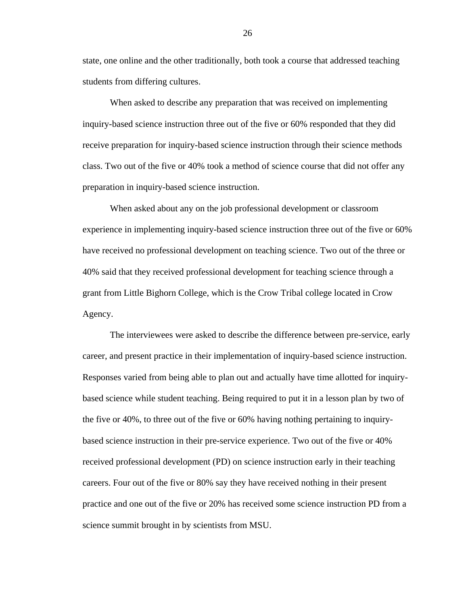state, one online and the other traditionally, both took a course that addressed teaching students from differing cultures.

When asked to describe any preparation that was received on implementing inquiry-based science instruction three out of the five or 60% responded that they did receive preparation for inquiry-based science instruction through their science methods class. Two out of the five or 40% took a method of science course that did not offer any preparation in inquiry-based science instruction.

When asked about any on the job professional development or classroom experience in implementing inquiry-based science instruction three out of the five or 60% have received no professional development on teaching science. Two out of the three or 40% said that they received professional development for teaching science through a grant from Little Bighorn College, which is the Crow Tribal college located in Crow Agency.

The interviewees were asked to describe the difference between pre-service, early career, and present practice in their implementation of inquiry-based science instruction. Responses varied from being able to plan out and actually have time allotted for inquirybased science while student teaching. Being required to put it in a lesson plan by two of the five or 40%, to three out of the five or 60% having nothing pertaining to inquirybased science instruction in their pre-service experience. Two out of the five or 40% received professional development (PD) on science instruction early in their teaching careers. Four out of the five or 80% say they have received nothing in their present practice and one out of the five or 20% has received some science instruction PD from a science summit brought in by scientists from MSU.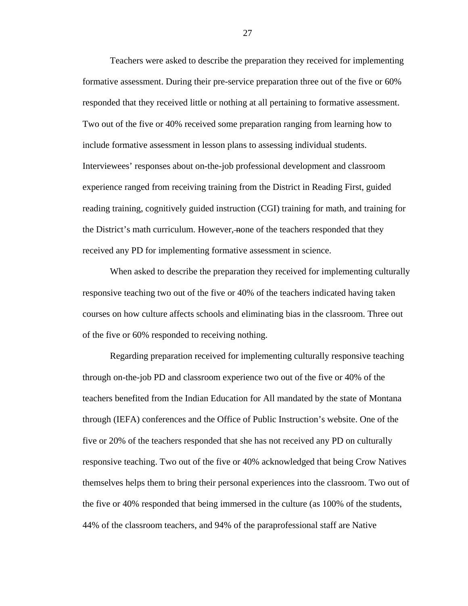Teachers were asked to describe the preparation they received for implementing formative assessment. During their pre-service preparation three out of the five or 60% responded that they received little or nothing at all pertaining to formative assessment. Two out of the five or 40% received some preparation ranging from learning how to include formative assessment in lesson plans to assessing individual students. Interviewees' responses about on-the-job professional development and classroom experience ranged from receiving training from the District in Reading First, guided reading training, cognitively guided instruction (CGI) training for math, and training for the District's math curriculum. However, none of the teachers responded that they received any PD for implementing formative assessment in science.

When asked to describe the preparation they received for implementing culturally responsive teaching two out of the five or 40% of the teachers indicated having taken courses on how culture affects schools and eliminating bias in the classroom. Three out of the five or 60% responded to receiving nothing.

Regarding preparation received for implementing culturally responsive teaching through on-the-job PD and classroom experience two out of the five or 40% of the teachers benefited from the Indian Education for All mandated by the state of Montana through (IEFA) conferences and the Office of Public Instruction's website. One of the five or 20% of the teachers responded that she has not received any PD on culturally responsive teaching. Two out of the five or 40% acknowledged that being Crow Natives themselves helps them to bring their personal experiences into the classroom. Two out of the five or 40% responded that being immersed in the culture (as 100% of the students, 44% of the classroom teachers, and 94% of the paraprofessional staff are Native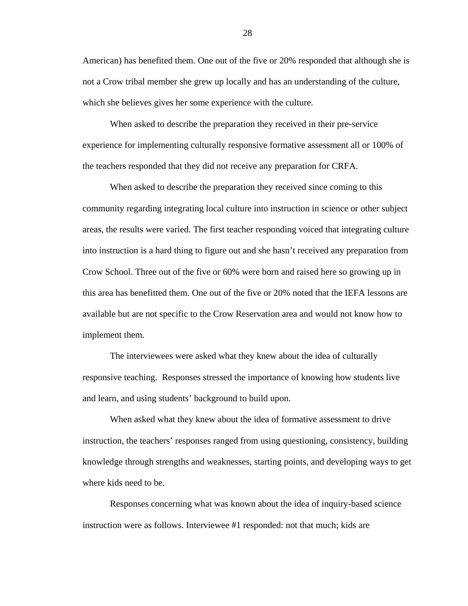American) has benefited them. One out of the five or 20% responded that although she is not a Crow tribal member she grew up locally and has an understanding of the culture, which she believes gives her some experience with the culture.

When asked to describe the preparation they received in their pre-service experience for implementing culturally responsive formative assessment all or 100% of the teachers responded that they did not receive any preparation for CRFA.

When asked to describe the preparation they received since coming to this community regarding integrating local culture into instruction in science or other subject areas, the results were varied. The first teacher responding voiced that integrating culture into instruction is a hard thing to figure out and she hasn't received any preparation from Crow School. Three out of the five or 60% were born and raised here so growing up in this area has benefitted them. One out of the five or 20% noted that the IEFA lessons are available but are not specific to the Crow Reservation area and would not know how to implement them.

The interviewees were asked what they knew about the idea of culturally responsive teaching. Responses stressed the importance of knowing how students live and learn, and using students' background to build upon.

When asked what they knew about the idea of formative assessment to drive instruction, the teachers' responses ranged from using questioning, consistency, building knowledge through strengths and weaknesses, starting points, and developing ways to get where kids need to be.

Responses concerning what was known about the idea of inquiry-based science instruction were as follows. Interviewee #1 responded: not that much; kids are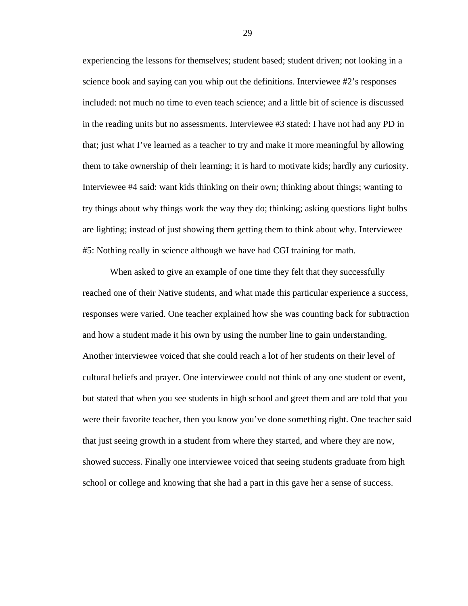experiencing the lessons for themselves; student based; student driven; not looking in a science book and saying can you whip out the definitions. Interviewee #2's responses included: not much no time to even teach science; and a little bit of science is discussed in the reading units but no assessments. Interviewee #3 stated: I have not had any PD in that; just what I've learned as a teacher to try and make it more meaningful by allowing them to take ownership of their learning; it is hard to motivate kids; hardly any curiosity. Interviewee #4 said: want kids thinking on their own; thinking about things; wanting to try things about why things work the way they do; thinking; asking questions light bulbs are lighting; instead of just showing them getting them to think about why. Interviewee #5: Nothing really in science although we have had CGI training for math.

When asked to give an example of one time they felt that they successfully reached one of their Native students, and what made this particular experience a success, responses were varied. One teacher explained how she was counting back for subtraction and how a student made it his own by using the number line to gain understanding. Another interviewee voiced that she could reach a lot of her students on their level of cultural beliefs and prayer. One interviewee could not think of any one student or event, but stated that when you see students in high school and greet them and are told that you were their favorite teacher, then you know you've done something right. One teacher said that just seeing growth in a student from where they started, and where they are now, showed success. Finally one interviewee voiced that seeing students graduate from high school or college and knowing that she had a part in this gave her a sense of success.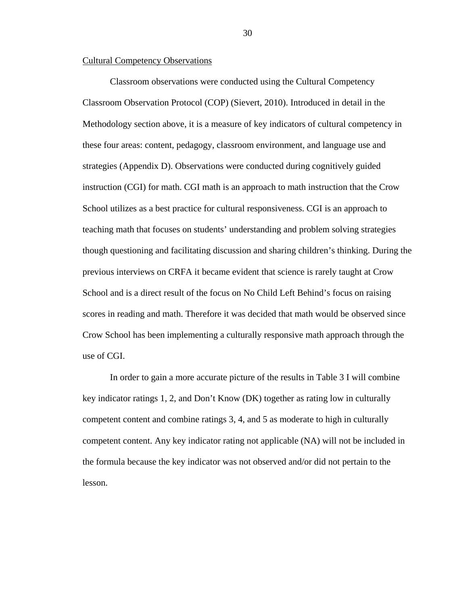#### Cultural Competency Observations

Classroom observations were conducted using the Cultural Competency Classroom Observation Protocol (COP) (Sievert, 2010). Introduced in detail in the Methodology section above, it is a measure of key indicators of cultural competency in these four areas: content, pedagogy, classroom environment, and language use and strategies (Appendix D). Observations were conducted during cognitively guided instruction (CGI) for math. CGI math is an approach to math instruction that the Crow School utilizes as a best practice for cultural responsiveness. CGI is an approach to teaching math that focuses on students' understanding and problem solving strategies though questioning and facilitating discussion and sharing children's thinking. During the previous interviews on CRFA it became evident that science is rarely taught at Crow School and is a direct result of the focus on No Child Left Behind's focus on raising scores in reading and math. Therefore it was decided that math would be observed since Crow School has been implementing a culturally responsive math approach through the use of CGI.

In order to gain a more accurate picture of the results in Table 3 I will combine key indicator ratings 1, 2, and Don't Know (DK) together as rating low in culturally competent content and combine ratings 3, 4, and 5 as moderate to high in culturally competent content. Any key indicator rating not applicable (NA) will not be included in the formula because the key indicator was not observed and/or did not pertain to the lesson.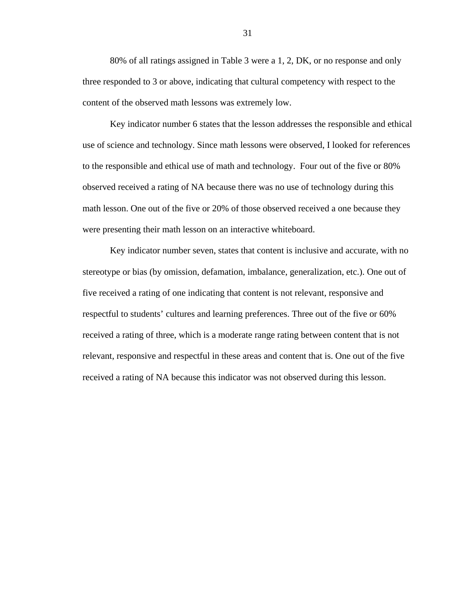80% of all ratings assigned in Table 3 were a 1, 2, DK, or no response and only three responded to 3 or above, indicating that cultural competency with respect to the content of the observed math lessons was extremely low.

Key indicator number 6 states that the lesson addresses the responsible and ethical use of science and technology. Since math lessons were observed, I looked for references to the responsible and ethical use of math and technology. Four out of the five or 80% observed received a rating of NA because there was no use of technology during this math lesson. One out of the five or 20% of those observed received a one because they were presenting their math lesson on an interactive whiteboard.

Key indicator number seven, states that content is inclusive and accurate, with no stereotype or bias (by omission, defamation, imbalance, generalization, etc.). One out of five received a rating of one indicating that content is not relevant, responsive and respectful to students' cultures and learning preferences. Three out of the five or 60% received a rating of three, which is a moderate range rating between content that is not relevant, responsive and respectful in these areas and content that is. One out of the five received a rating of NA because this indicator was not observed during this lesson.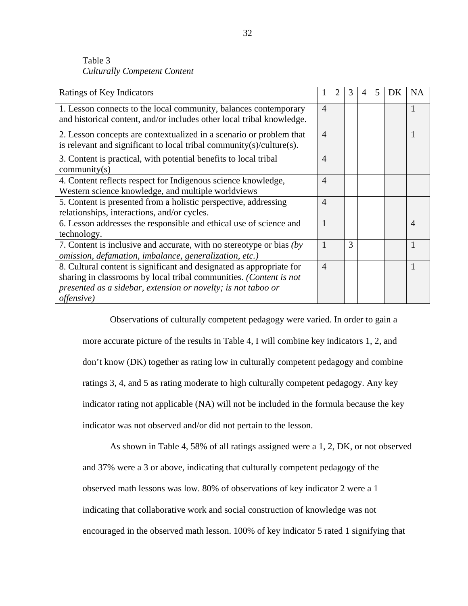Table 3 *Culturally Competent Content*

| Ratings of Key Indicators                                                                                                                                                                                                         |                | 2 | 3 | 4 | 5 | <b>DK</b> | <b>NA</b> |
|-----------------------------------------------------------------------------------------------------------------------------------------------------------------------------------------------------------------------------------|----------------|---|---|---|---|-----------|-----------|
| 1. Lesson connects to the local community, balances contemporary<br>and historical content, and/or includes other local tribal knowledge.                                                                                         | $\overline{4}$ |   |   |   |   |           | 1         |
| 2. Lesson concepts are contextualized in a scenario or problem that<br>is relevant and significant to local tribal community(s)/culture(s).                                                                                       | $\overline{4}$ |   |   |   |   |           | 1         |
| 3. Content is practical, with potential benefits to local tribal<br>community(s)                                                                                                                                                  | 4              |   |   |   |   |           |           |
| 4. Content reflects respect for Indigenous science knowledge,<br>Western science knowledge, and multiple worldviews                                                                                                               | $\overline{4}$ |   |   |   |   |           |           |
| 5. Content is presented from a holistic perspective, addressing<br>relationships, interactions, and/or cycles.                                                                                                                    | $\overline{4}$ |   |   |   |   |           |           |
| 6. Lesson addresses the responsible and ethical use of science and<br>technology.                                                                                                                                                 | $\mathbf{1}$   |   |   |   |   |           | 4         |
| 7. Content is inclusive and accurate, with no stereotype or bias (by<br>omission, defamation, imbalance, generalization, etc.)                                                                                                    | 1              |   | 3 |   |   |           |           |
| 8. Cultural content is significant and designated as appropriate for<br>sharing in classrooms by local tribal communities. (Content is not<br>presented as a sidebar, extension or novelty; is not taboo or<br><i>offensive</i> ) | $\overline{4}$ |   |   |   |   |           | 1         |

Observations of culturally competent pedagogy were varied. In order to gain a more accurate picture of the results in Table 4, I will combine key indicators 1, 2, and don't know (DK) together as rating low in culturally competent pedagogy and combine ratings 3, 4, and 5 as rating moderate to high culturally competent pedagogy. Any key indicator rating not applicable (NA) will not be included in the formula because the key indicator was not observed and/or did not pertain to the lesson.

As shown in Table 4, 58% of all ratings assigned were a 1, 2, DK, or not observed and 37% were a 3 or above, indicating that culturally competent pedagogy of the observed math lessons was low. 80% of observations of key indicator 2 were a 1 indicating that collaborative work and social construction of knowledge was not encouraged in the observed math lesson. 100% of key indicator 5 rated 1 signifying that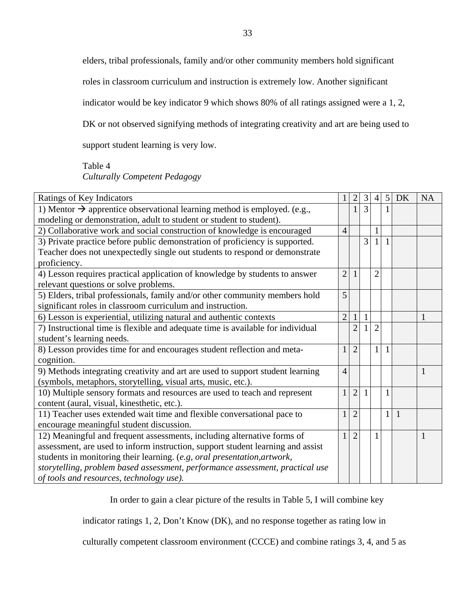elders, tribal professionals, family and/or other community members hold significant

roles in classroom curriculum and instruction is extremely low. Another significant

indicator would be key indicator 9 which shows 80% of all ratings assigned were a 1, 2,

DK or not observed signifying methods of integrating creativity and art are being used to

support student learning is very low.

## Table 4 *Culturally Competent Pedagogy*

| Ratings of Key Indicators                                                            |                | $\overline{2}$ | 3 | $\overline{4}$ | 5 | DK             | <b>NA</b> |
|--------------------------------------------------------------------------------------|----------------|----------------|---|----------------|---|----------------|-----------|
| 1) Mentor $\rightarrow$ apprentice observational learning method is employed. (e.g., |                |                | 3 |                |   |                |           |
| modeling or demonstration, adult to student or student to student).                  |                |                |   |                |   |                |           |
| 2) Collaborative work and social construction of knowledge is encouraged             | $\overline{4}$ |                |   |                |   |                |           |
| 3) Private practice before public demonstration of proficiency is supported.         |                |                | 3 |                |   |                |           |
| Teacher does not unexpectedly single out students to respond or demonstrate          |                |                |   |                |   |                |           |
| proficiency.                                                                         |                |                |   |                |   |                |           |
| 4) Lesson requires practical application of knowledge by students to answer          | $\overline{2}$ | $\mathbf{1}$   |   | $\overline{2}$ |   |                |           |
| relevant questions or solve problems.                                                |                |                |   |                |   |                |           |
| 5) Elders, tribal professionals, family and/or other community members hold          | 5              |                |   |                |   |                |           |
| significant roles in classroom curriculum and instruction.                           |                |                |   |                |   |                |           |
| 6) Lesson is experiential, utilizing natural and authentic contexts                  | $\overline{2}$ |                |   |                |   |                |           |
| 7) Instructional time is flexible and adequate time is available for individual      |                |                |   | $\overline{2}$ |   |                |           |
| student's learning needs.                                                            |                |                |   |                |   |                |           |
| 8) Lesson provides time for and encourages student reflection and meta-              | 1              | $\overline{2}$ |   |                |   |                |           |
| cognition.                                                                           |                |                |   |                |   |                |           |
| 9) Methods integrating creativity and art are used to support student learning       | $\overline{4}$ |                |   |                |   |                | 1         |
| (symbols, metaphors, storytelling, visual arts, music, etc.).                        |                |                |   |                |   |                |           |
| 10) Multiple sensory formats and resources are used to teach and represent           | $\mathbf{1}$   | $\overline{2}$ | 1 |                | 1 |                |           |
| content (aural, visual, kinesthetic, etc.).                                          |                |                |   |                |   |                |           |
| 11) Teacher uses extended wait time and flexible conversational pace to              | 1              | $\overline{2}$ |   |                | 1 | $\overline{1}$ |           |
| encourage meaningful student discussion.                                             |                |                |   |                |   |                |           |
| 12) Meaningful and frequent assessments, including alternative forms of              | 1              | $\overline{2}$ |   |                |   |                | 1         |
| assessment, are used to inform instruction, support student learning and assist      |                |                |   |                |   |                |           |
| students in monitoring their learning. (e.g. oral presentation, artwork,             |                |                |   |                |   |                |           |
| storytelling, problem based assessment, performance assessment, practical use        |                |                |   |                |   |                |           |
| of tools and resources, technology use).                                             |                |                |   |                |   |                |           |

In order to gain a clear picture of the results in Table 5, I will combine key

indicator ratings 1, 2, Don't Know (DK), and no response together as rating low in

culturally competent classroom environment (CCCE) and combine ratings 3, 4, and 5 as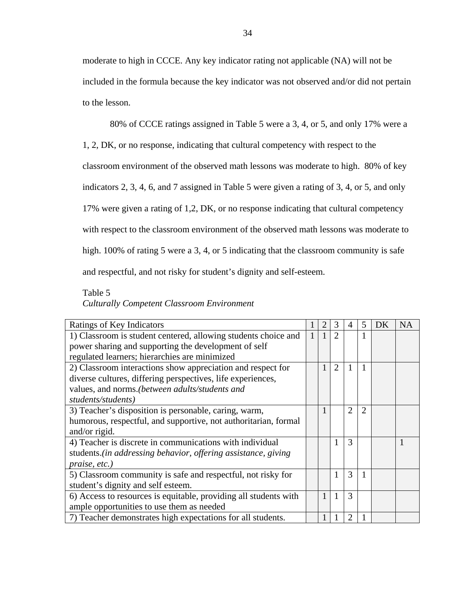34

moderate to high in CCCE. Any key indicator rating not applicable (NA) will not be included in the formula because the key indicator was not observed and/or did not pertain to the lesson.

80% of CCCE ratings assigned in Table 5 were a 3, 4, or 5, and only 17% were a

1, 2, DK, or no response, indicating that cultural competency with respect to the

classroom environment of the observed math lessons was moderate to high. 80% of key

indicators 2, 3, 4, 6, and 7 assigned in Table 5 were given a rating of 3, 4, or 5, and only

17% were given a rating of 1,2, DK, or no response indicating that cultural competency

with respect to the classroom environment of the observed math lessons was moderate to

high. 100% of rating 5 were a 3, 4, or 5 indicating that the classroom community is safe

and respectful, and not risky for student's dignity and self-esteem.

### Table 5 *Culturally Competent Classroom Environment*

| Ratings of Key Indicators                                        |              | 3                           | 4              | 5              | DK | <b>NA</b> |
|------------------------------------------------------------------|--------------|-----------------------------|----------------|----------------|----|-----------|
| 1) Classroom is student centered, allowing students choice and   | $\mathbf{1}$ | っ                           |                |                |    |           |
| power sharing and supporting the development of self             |              |                             |                |                |    |           |
| regulated learners; hierarchies are minimized                    |              |                             |                |                |    |           |
| 2) Classroom interactions show appreciation and respect for      |              | $\mathcal{D}_{\mathcal{L}}$ |                |                |    |           |
| diverse cultures, differing perspectives, life experiences,      |              |                             |                |                |    |           |
| values, and norms.(between adults/students and                   |              |                             |                |                |    |           |
| students/students)                                               |              |                             |                |                |    |           |
| 3) Teacher's disposition is personable, caring, warm,            |              |                             | $\overline{2}$ | $\overline{2}$ |    |           |
| humorous, respectful, and supportive, not authoritarian, formal  |              |                             |                |                |    |           |
| and/or rigid.                                                    |              |                             |                |                |    |           |
| 4) Teacher is discrete in communications with individual         |              |                             | 3              |                |    |           |
| students.(in addressing behavior, offering assistance, giving    |              |                             |                |                |    |           |
| praise, etc.)                                                    |              |                             |                |                |    |           |
| 5) Classroom community is safe and respectful, not risky for     |              |                             | 3              |                |    |           |
| student's dignity and self esteem.                               |              |                             |                |                |    |           |
| 6) Access to resources is equitable, providing all students with | 1            |                             | 3              |                |    |           |
| ample opportunities to use them as needed                        |              |                             |                |                |    |           |
| 7) Teacher demonstrates high expectations for all students.      |              |                             | っ              |                |    |           |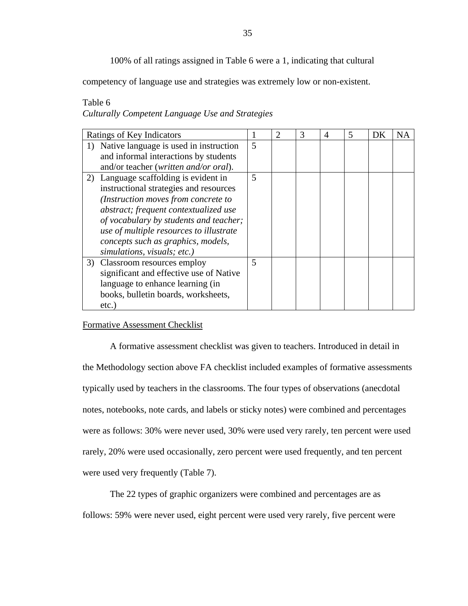100% of all ratings assigned in Table 6 were a 1, indicating that cultural

competency of language use and strategies was extremely low or non-existent.

### Table 6 *Culturally Competent Language Use and Strategies*

| Ratings of Key Indicators                    |   | $\mathcal{D}_{\mathcal{L}}$ | 3 | 4 | 5 | ÐК | NΑ |
|----------------------------------------------|---|-----------------------------|---|---|---|----|----|
| Native language is used in instruction<br>1) | 5 |                             |   |   |   |    |    |
| and informal interactions by students        |   |                             |   |   |   |    |    |
| and/or teacher (written and/or oral).        |   |                             |   |   |   |    |    |
| 2) Language scaffolding is evident in        | 5 |                             |   |   |   |    |    |
| instructional strategies and resources       |   |                             |   |   |   |    |    |
| (Instruction moves from concrete to          |   |                             |   |   |   |    |    |
| abstract; frequent contextualized use        |   |                             |   |   |   |    |    |
| of vocabulary by students and teacher;       |   |                             |   |   |   |    |    |
| use of multiple resources to illustrate      |   |                             |   |   |   |    |    |
| concepts such as graphics, models,           |   |                             |   |   |   |    |    |
| simulations, visuals; etc.)                  |   |                             |   |   |   |    |    |
| 3) Classroom resources employ                | 5 |                             |   |   |   |    |    |
| significant and effective use of Native      |   |                             |   |   |   |    |    |
| language to enhance learning (in             |   |                             |   |   |   |    |    |
| books, bulletin boards, worksheets,          |   |                             |   |   |   |    |    |
| etc.)                                        |   |                             |   |   |   |    |    |

#### Formative Assessment Checklist

A formative assessment checklist was given to teachers. Introduced in detail in the Methodology section above FA checklist included examples of formative assessments typically used by teachers in the classrooms. The four types of observations (anecdotal notes, notebooks, note cards, and labels or sticky notes) were combined and percentages were as follows: 30% were never used, 30% were used very rarely, ten percent were used rarely, 20% were used occasionally, zero percent were used frequently, and ten percent were used very frequently (Table 7).

The 22 types of graphic organizers were combined and percentages are as follows: 59% were never used, eight percent were used very rarely, five percent were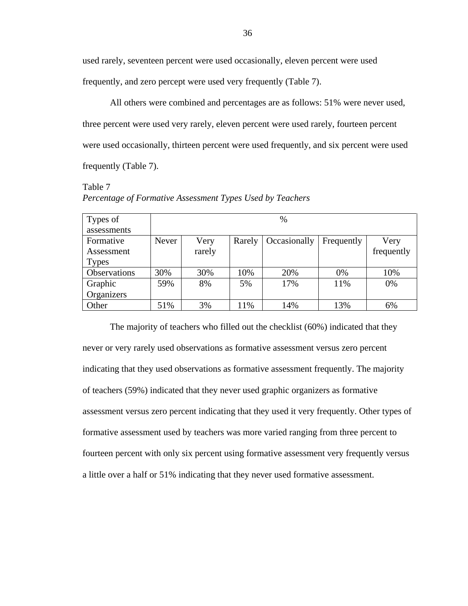used rarely, seventeen percent were used occasionally, eleven percent were used frequently, and zero percept were used very frequently (Table 7).

All others were combined and percentages are as follows: 51% were never used, three percent were used very rarely, eleven percent were used rarely, fourteen percent were used occasionally, thirteen percent were used frequently, and six percent were used frequently (Table 7).

Table 7 *Percentage of Formative Assessment Types Used by Teachers*

| Types of     |       |        |        | $\%$         |            |            |
|--------------|-------|--------|--------|--------------|------------|------------|
| assessments  |       |        |        |              |            |            |
| Formative    | Never | Very   | Rarely | Occasionally | Frequently | Very       |
| Assessment   |       | rarely |        |              |            | frequently |
| <b>Types</b> |       |        |        |              |            |            |
| Observations | 30%   | 30%    | 10%    | 20%          | 0%         | 10%        |
| Graphic      | 59%   | 8%     | 5%     | 17%          | 11%        | 0%         |
| Organizers   |       |        |        |              |            |            |
| Other        | 51%   | 3%     | 11%    | 14%          | 13%        | 6%         |

The majority of teachers who filled out the checklist (60%) indicated that they never or very rarely used observations as formative assessment versus zero percent indicating that they used observations as formative assessment frequently. The majority of teachers (59%) indicated that they never used graphic organizers as formative assessment versus zero percent indicating that they used it very frequently. Other types of formative assessment used by teachers was more varied ranging from three percent to fourteen percent with only six percent using formative assessment very frequently versus a little over a half or 51% indicating that they never used formative assessment.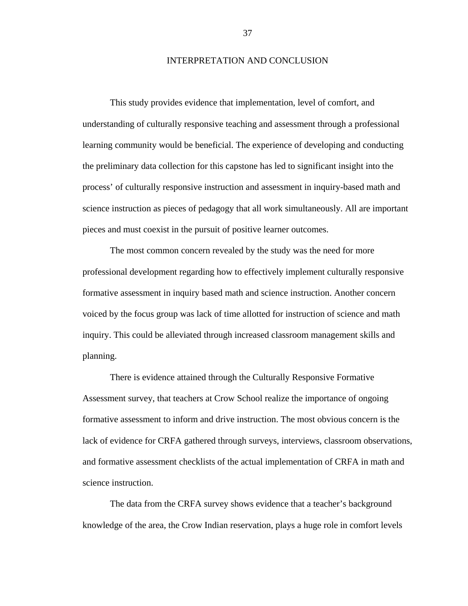#### INTERPRETATION AND CONCLUSION

This study provides evidence that implementation, level of comfort, and understanding of culturally responsive teaching and assessment through a professional learning community would be beneficial. The experience of developing and conducting the preliminary data collection for this capstone has led to significant insight into the process' of culturally responsive instruction and assessment in inquiry-based math and science instruction as pieces of pedagogy that all work simultaneously. All are important pieces and must coexist in the pursuit of positive learner outcomes.

The most common concern revealed by the study was the need for more professional development regarding how to effectively implement culturally responsive formative assessment in inquiry based math and science instruction. Another concern voiced by the focus group was lack of time allotted for instruction of science and math inquiry. This could be alleviated through increased classroom management skills and planning.

There is evidence attained through the Culturally Responsive Formative Assessment survey, that teachers at Crow School realize the importance of ongoing formative assessment to inform and drive instruction. The most obvious concern is the lack of evidence for CRFA gathered through surveys, interviews, classroom observations, and formative assessment checklists of the actual implementation of CRFA in math and science instruction.

The data from the CRFA survey shows evidence that a teacher's background knowledge of the area, the Crow Indian reservation, plays a huge role in comfort levels

37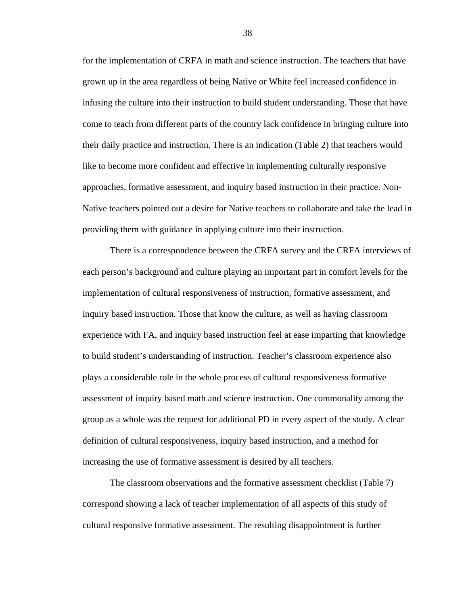for the implementation of CRFA in math and science instruction. The teachers that have grown up in the area regardless of being Native or White feel increased confidence in infusing the culture into their instruction to build student understanding. Those that have come to teach from different parts of the country lack confidence in bringing culture into their daily practice and instruction. There is an indication (Table 2) that teachers would like to become more confident and effective in implementing culturally responsive approaches, formative assessment, and inquiry based instruction in their practice. Non-Native teachers pointed out a desire for Native teachers to collaborate and take the lead in providing them with guidance in applying culture into their instruction.

There is a correspondence between the CRFA survey and the CRFA interviews of each person's background and culture playing an important part in comfort levels for the implementation of cultural responsiveness of instruction, formative assessment, and inquiry based instruction. Those that know the culture, as well as having classroom experience with FA, and inquiry based instruction feel at ease imparting that knowledge to build student's understanding of instruction. Teacher's classroom experience also plays a considerable role in the whole process of cultural responsiveness formative assessment of inquiry based math and science instruction. One commonality among the group as a whole was the request for additional PD in every aspect of the study. A clear definition of cultural responsiveness, inquiry based instruction, and a method for increasing the use of formative assessment is desired by all teachers.

The classroom observations and the formative assessment checklist (Table 7) correspond showing a lack of teacher implementation of all aspects of this study of cultural responsive formative assessment. The resulting disappointment is further

38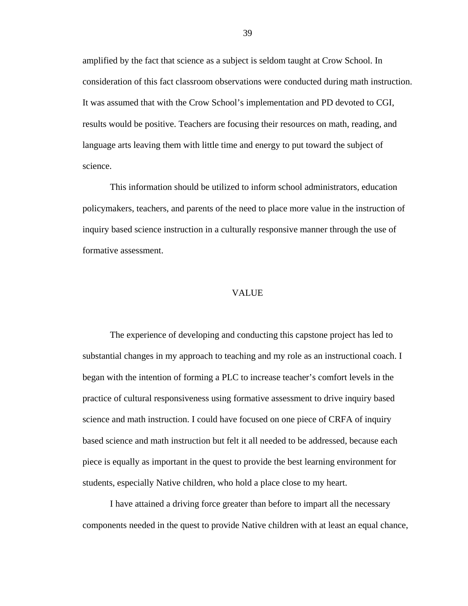amplified by the fact that science as a subject is seldom taught at Crow School. In consideration of this fact classroom observations were conducted during math instruction. It was assumed that with the Crow School's implementation and PD devoted to CGI, results would be positive. Teachers are focusing their resources on math, reading, and language arts leaving them with little time and energy to put toward the subject of science.

This information should be utilized to inform school administrators, education policymakers, teachers, and parents of the need to place more value in the instruction of inquiry based science instruction in a culturally responsive manner through the use of formative assessment.

#### VALUE

The experience of developing and conducting this capstone project has led to substantial changes in my approach to teaching and my role as an instructional coach. I began with the intention of forming a PLC to increase teacher's comfort levels in the practice of cultural responsiveness using formative assessment to drive inquiry based science and math instruction. I could have focused on one piece of CRFA of inquiry based science and math instruction but felt it all needed to be addressed, because each piece is equally as important in the quest to provide the best learning environment for students, especially Native children, who hold a place close to my heart.

I have attained a driving force greater than before to impart all the necessary components needed in the quest to provide Native children with at least an equal chance,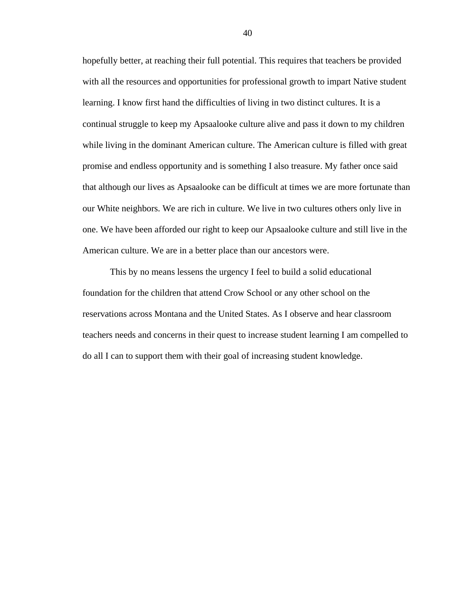hopefully better, at reaching their full potential. This requires that teachers be provided with all the resources and opportunities for professional growth to impart Native student learning. I know first hand the difficulties of living in two distinct cultures. It is a continual struggle to keep my Apsaalooke culture alive and pass it down to my children while living in the dominant American culture. The American culture is filled with great promise and endless opportunity and is something I also treasure. My father once said that although our lives as Apsaalooke can be difficult at times we are more fortunate than our White neighbors. We are rich in culture. We live in two cultures others only live in one. We have been afforded our right to keep our Apsaalooke culture and still live in the American culture. We are in a better place than our ancestors were.

This by no means lessens the urgency I feel to build a solid educational foundation for the children that attend Crow School or any other school on the reservations across Montana and the United States. As I observe and hear classroom teachers needs and concerns in their quest to increase student learning I am compelled to do all I can to support them with their goal of increasing student knowledge.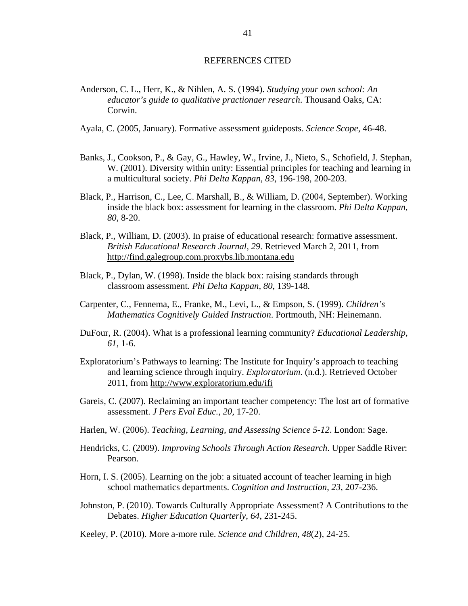#### REFERENCES CITED

- Anderson, C. L., Herr, K., & Nihlen, A. S. (1994). *Studying your own school: An educator's guide to qualitative practionaer research*. Thousand Oaks, CA: Corwin.
- Ayala, C. (2005, January). Formative assessment guideposts. *Science Scope*, 46-48.
- Banks, J., Cookson, P., & Gay, G., Hawley, W., Irvine, J., Nieto, S., Schofield, J. Stephan, W. (2001). Diversity within unity: Essential principles for teaching and learning in a multicultural society. *Phi Delta Kappan*, *83*, 196-198, 200-203.
- Black, P., Harrison, C., Lee, C. Marshall, B., & William, D. (2004, September). Working inside the black box: assessment for learning in the classroom. *Phi Delta Kappan*, *80*, 8-20.
- Black, P., William, D. (2003). In praise of educational research: formative assessment. *British Educational Research Journal, 29*. Retrieved March 2, 2011, from [http://find.galegroup.com.proxybs.lib.montana.edu](http://find.galegroup.com.proxybs.lib.montana.edu/)
- Black, P., Dylan, W. (1998). Inside the black box: raising standards through classroom assessment. *Phi Delta Kappan, 80*, 139-148*.*
- Carpenter, C., Fennema, E., Franke, M., Levi, L., & Empson, S. (1999). *Children's Mathematics Cognitively Guided Instruction*. Portmouth, NH: Heinemann.
- DuFour, R. (2004). What is a professional learning community? *Educational Leadership*, *61*, 1-6.
- Exploratorium's Pathways to learning: The Institute for Inquiry's approach to teaching and learning science through inquiry. *Exploratorium*. (n.d.). Retrieved October 2011, from<http://www.exploratorium.edu/ifi>
- Gareis, C. (2007). Reclaiming an important teacher competency: The lost art of formative assessment. *J Pers Eval Educ., 20*, 17-20.
- Harlen, W. (2006). *Teaching, Learning, and Assessing Science 5-12*. London: Sage.
- Hendricks, C. (2009). *Improving Schools Through Action Research*. Upper Saddle River: Pearson.
- Horn, I. S. (2005). Learning on the job: a situated account of teacher learning in high school mathematics departments. *Cognition and Instruction*, *23*, 207-236.
- Johnston, P. (2010). Towards Culturally Appropriate Assessment? A Contributions to the Debates. *Higher Education Quarterly*, *64*, 231-245.
- Keeley, P. (2010). More a-more rule. *Science and Children*, *48*(2), 24-25.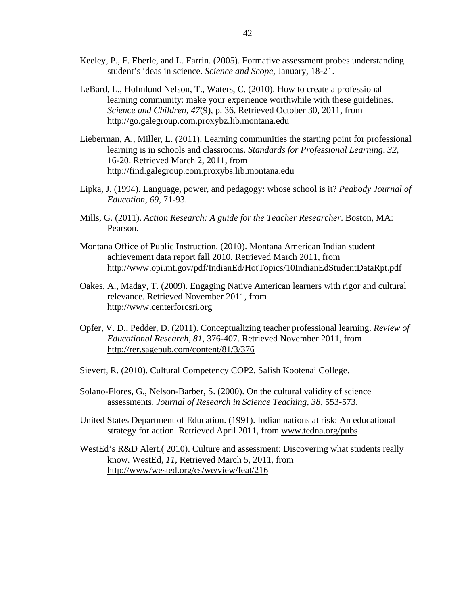- Keeley, P., F. Eberle, and L. Farrin. (2005). Formative assessment probes understanding student's ideas in science. *Science and Scope*, January, 18-21.
- LeBard, L., Holmlund Nelson, T., Waters, C. (2010). How to create a professional learning community: make your experience worthwhile with these guidelines. *Science and Children*, *47*(9), p. 36. Retrieved October 30, 2011, from http://go.galegroup.com.proxybz.lib.montana.edu
- Lieberman, A., Miller, L. (2011). Learning communities the starting point for professional learning is in schools and classrooms. *Standards for Professional Learning*, *32*, 16-20. Retrieved March 2, 2011, from [http://find.galegroup.com.proxybs.lib.montana.edu](http://find.galegroup.com.proxybs.lib.montana.edu/)
- Lipka, J. (1994). Language, power, and pedagogy: whose school is it? *Peabody Journal of Education, 69*, 71-93.
- Mills, G. (2011). *Action Research: A guide for the Teacher Researcher*. Boston, MA: Pearson.
- Montana Office of Public Instruction. (2010). Montana American Indian student achievement data report fall 2010*.* Retrieved March 2011, from <http://www.opi.mt.gov/pdf/IndianEd/HotTopics/10IndianEdStudentDataRpt.pdf>
- Oakes, A., Maday, T. (2009). Engaging Native American learners with rigor and cultural relevance. Retrieved November 2011, from [http://www.centerforcsri.org](http://www.centerforcsri.org/)
- Opfer, V. D., Pedder, D. (2011). Conceptualizing teacher professional learning. *Review of Educational Research*, *81*, 376-407. Retrieved November 2011, from <http://rer.sagepub.com/content/81/3/376>
- Sievert, R. (2010). Cultural Competency COP2. Salish Kootenai College.
- Solano-Flores, G., Nelson-Barber, S. (2000). On the cultural validity of science assessments. *Journal of Research in Science Teaching*, *38*, 553-573.
- United States Department of Education. (1991). Indian nations at risk: An educational strategy for action. Retrieved April 2011, from [www.tedna.org/pubs](http://www.tedna.org/pubs)
- WestEd's R&D Alert.( 2010). Culture and assessment: Discovering what students really know. WestEd, *11*, Retrieved March 5, 2011, from <http://www/wested.org/cs/we/view/feat/216>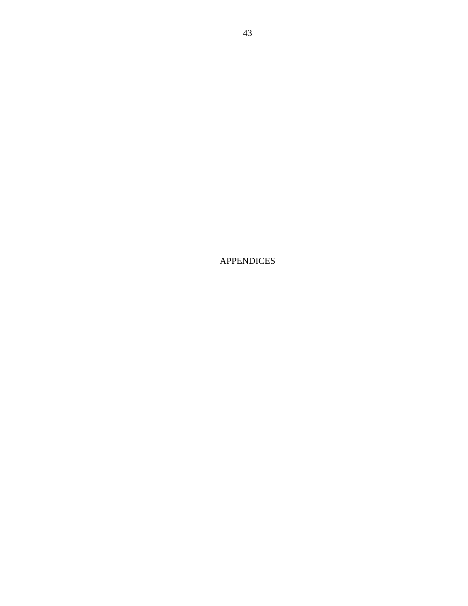APPENDICES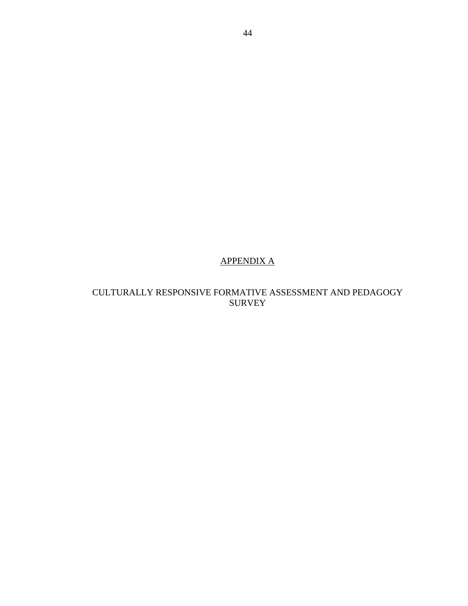# APPENDIX A

# CULTURALLY RESPONSIVE FORMATIVE ASSESSMENT AND PEDAGOGY SURVEY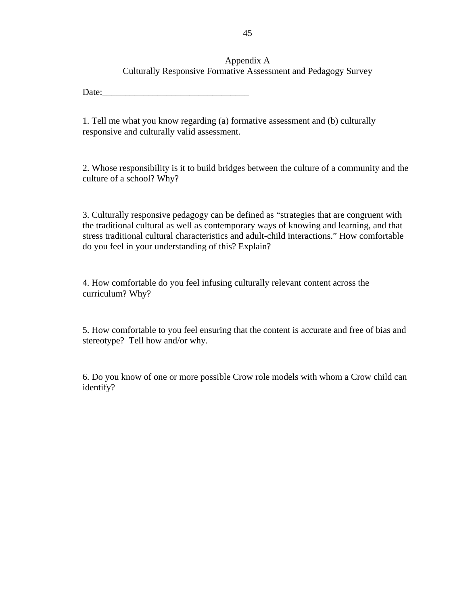### Appendix A Culturally Responsive Formative Assessment and Pedagogy Survey

Date:

1. Tell me what you know regarding (a) formative assessment and (b) culturally responsive and culturally valid assessment.

2. Whose responsibility is it to build bridges between the culture of a community and the culture of a school? Why?

3. Culturally responsive pedagogy can be defined as "strategies that are congruent with the traditional cultural as well as contemporary ways of knowing and learning, and that stress traditional cultural characteristics and adult-child interactions." How comfortable do you feel in your understanding of this? Explain?

4. How comfortable do you feel infusing culturally relevant content across the curriculum? Why?

5. How comfortable to you feel ensuring that the content is accurate and free of bias and stereotype? Tell how and/or why.

6. Do you know of one or more possible Crow role models with whom a Crow child can identify?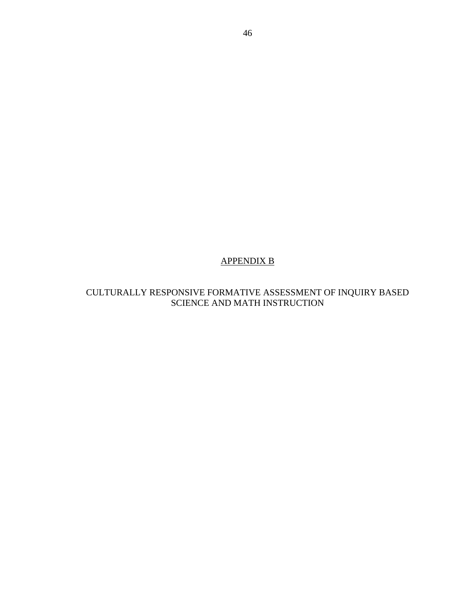### APPENDIX B

## CULTURALLY RESPONSIVE FORMATIVE ASSESSMENT OF INQUIRY BASED SCIENCE AND MATH INSTRUCTION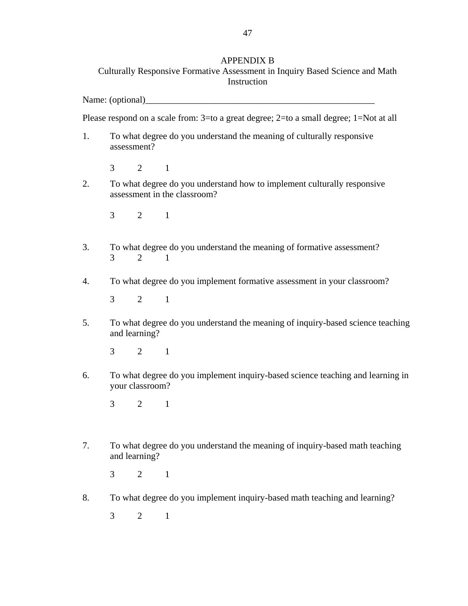#### APPENDIX B

Culturally Responsive Formative Assessment in Inquiry Based Science and Math Instruction

Name: (optional)

Please respond on a scale from: 3=to a great degree; 2=to a small degree; 1=Not at all

- 1. To what degree do you understand the meaning of culturally responsive assessment?
	- 3 2 1
- 2. To what degree do you understand how to implement culturally responsive assessment in the classroom?
	- 3 2 1
- 3. To what degree do you understand the meaning of formative assessment? 3 2 1
- 4. To what degree do you implement formative assessment in your classroom?

3 2 1

5. To what degree do you understand the meaning of inquiry-based science teaching and learning?

3 2 1

- 6. To what degree do you implement inquiry-based science teaching and learning in your classroom?
	- 3 2 1
- 7. To what degree do you understand the meaning of inquiry-based math teaching and learning?

3 2 1

- 8. To what degree do you implement inquiry-based math teaching and learning?
	- 3 2 1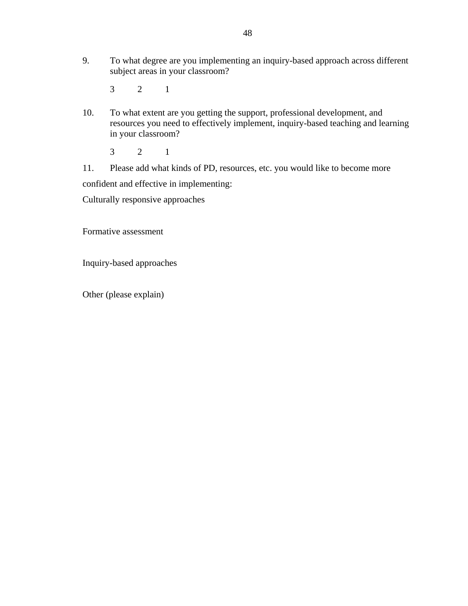9. To what degree are you implementing an inquiry-based approach across different subject areas in your classroom?

3 2 1

10. To what extent are you getting the support, professional development, and resources you need to effectively implement, inquiry-based teaching and learning in your classroom?

3 2 1

11. Please add what kinds of PD, resources, etc. you would like to become more confident and effective in implementing:

Culturally responsive approaches

Formative assessment

Inquiry-based approaches

Other (please explain)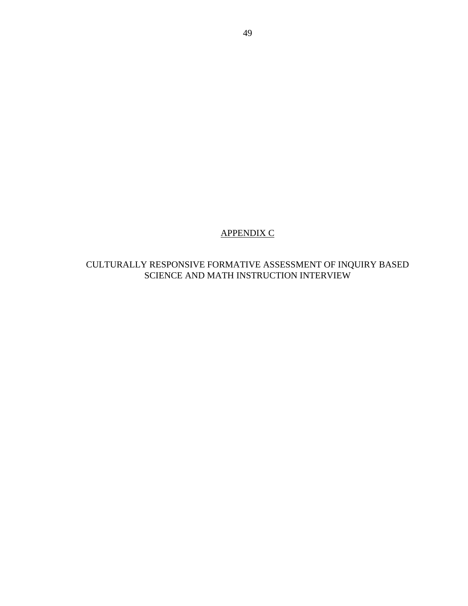# APPENDIX C

# CULTURALLY RESPONSIVE FORMATIVE ASSESSMENT OF INQUIRY BASED SCIENCE AND MATH INSTRUCTION INTERVIEW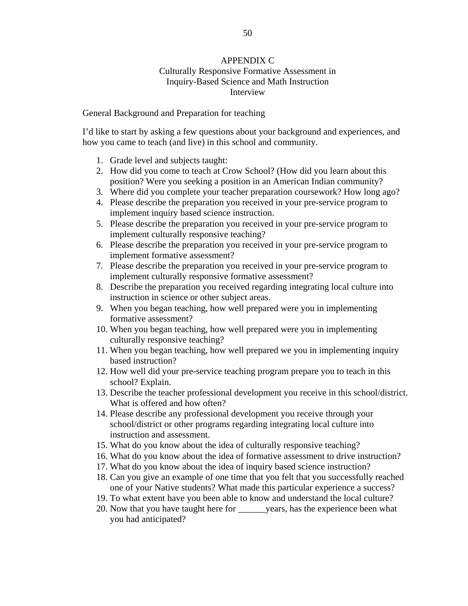### APPENDIX C Culturally Responsive Formative Assessment in Inquiry-Based Science and Math Instruction Interview

General Background and Preparation for teaching

I'd like to start by asking a few questions about your background and experiences, and how you came to teach (and live) in this school and community.

- 1. Grade level and subjects taught:
- 2. How did you come to teach at Crow School? (How did you learn about this position? Were you seeking a position in an American Indian community?
- 3. Where did you complete your teacher preparation coursework? How long ago?
- 4. Please describe the preparation you received in your pre-service program to implement inquiry based science instruction.
- 5. Please describe the preparation you received in your pre-service program to implement culturally responsive teaching?
- 6. Please describe the preparation you received in your pre-service program to implement formative assessment?
- 7. Please describe the preparation you received in your pre-service program to implement culturally responsive formative assessment?
- 8. Describe the preparation you received regarding integrating local culture into instruction in science or other subject areas.
- 9. When you began teaching, how well prepared were you in implementing formative assessment?
- 10. When you began teaching, how well prepared were you in implementing culturally responsive teaching?
- 11. When you began teaching, how well prepared we you in implementing inquiry based instruction?
- 12. How well did your pre-service teaching program prepare you to teach in this school? Explain.
- 13. Describe the teacher professional development you receive in this school/district. What is offered and how often?
- 14. Please describe any professional development you receive through your school/district or other programs regarding integrating local culture into instruction and assessment.
- 15. What do you know about the idea of culturally responsive teaching?
- 16. What do you know about the idea of formative assessment to drive instruction?
- 17. What do you know about the idea of inquiry based science instruction?
- 18. Can you give an example of one time that you felt that you successfully reached one of your Native students? What made this particular experience a success?
- 19. To what extent have you been able to know and understand the local culture?
- 20. Now that you have taught here for \_\_\_\_\_\_years, has the experience been what you had anticipated?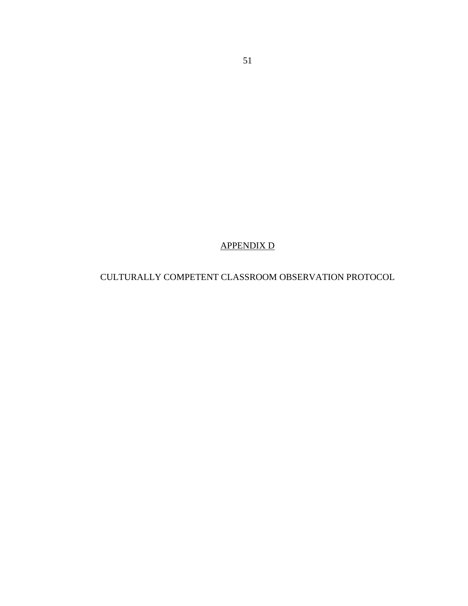# APPENDIX D

# CULTURALLY COMPETENT CLASSROOM OBSERVATION PROTOCOL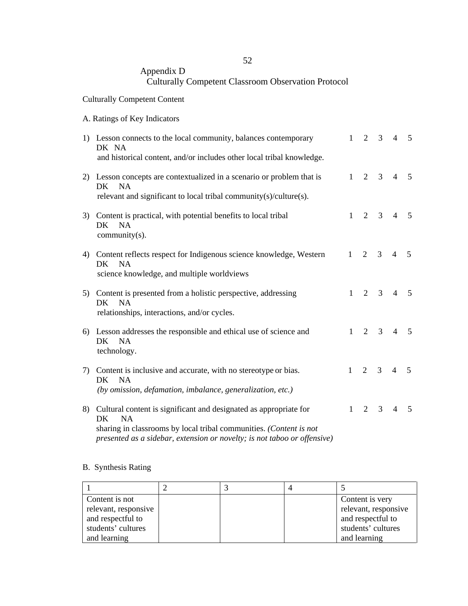## Appendix D Culturally Competent Classroom Observation Protocol

Culturally Competent Content

|  |  | A. Ratings of Key Indicators |
|--|--|------------------------------|
|  |  |                              |

| 1) Lesson connects to the local community, balances contemporary<br>DK NA                                                                      | $\mathbf{1}$ | $\overline{2}$ | 3 | $\overline{4}$ | 5 |
|------------------------------------------------------------------------------------------------------------------------------------------------|--------------|----------------|---|----------------|---|
| and historical content, and/or includes other local tribal knowledge.                                                                          |              |                |   |                |   |
| 2) Lesson concepts are contextualized in a scenario or problem that is<br>DK NA                                                                | $\mathbf{1}$ | $\overline{2}$ | 3 | $\overline{4}$ | 5 |
| relevant and significant to local tribal community(s)/culture(s).                                                                              |              |                |   |                |   |
| 3) Content is practical, with potential benefits to local tribal<br>DK.<br><b>NA</b><br>community $(s)$ .                                      | $\mathbf{1}$ | 2              | 3 | $\overline{4}$ | 5 |
| 4) Content reflects respect for Indigenous science knowledge, Western<br>DK NA<br>science knowledge, and multiple worldviews                   | $\mathbf{1}$ | $\overline{2}$ | 3 | $\overline{4}$ | 5 |
| 5) Content is presented from a holistic perspective, addressing                                                                                | $\mathbf{1}$ | 2              | 3 | $\overline{4}$ | 5 |
| NA<br>DK.<br>relationships, interactions, and/or cycles.                                                                                       |              |                |   |                |   |
| 6) Lesson addresses the responsible and ethical use of science and<br>DK                                                                       | $\mathbf{1}$ | 2              | 3 | $\overline{4}$ | 5 |
| <b>NA</b><br>technology.                                                                                                                       |              |                |   |                |   |
| 7) Content is inclusive and accurate, with no stereotype or bias.<br>DK<br><b>NA</b>                                                           | $\mathbf{1}$ | $\overline{2}$ | 3 | $\overline{4}$ | 5 |
| (by omission, defamation, imbalance, generalization, etc.)                                                                                     |              |                |   |                |   |
| 8) Cultural content is significant and designated as appropriate for<br><b>NA</b><br>DK                                                        | $\mathbf{1}$ | 2              | 3 | $\overline{4}$ | 5 |
| sharing in classrooms by local tribal communities. (Content is not<br>presented as a sidebar, extension or novelty; is not taboo or offensive) |              |                |   |                |   |

## B. Synthesis Rating

| Content is not       |  | Content is very      |
|----------------------|--|----------------------|
| relevant, responsive |  | relevant, responsive |
| and respectful to    |  | and respectful to    |
| students' cultures   |  | students' cultures   |
| and learning         |  | and learning         |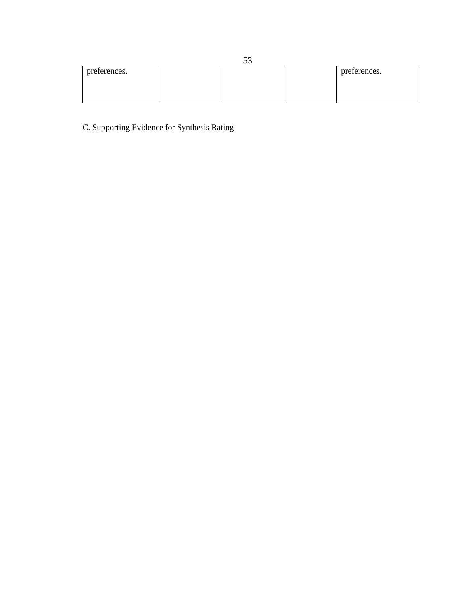| ັ            |  |  |  |              |  |  |  |
|--------------|--|--|--|--------------|--|--|--|
| preferences. |  |  |  | preferences. |  |  |  |
|              |  |  |  |              |  |  |  |
|              |  |  |  |              |  |  |  |

# C. Supporting Evidence for Synthesis Rating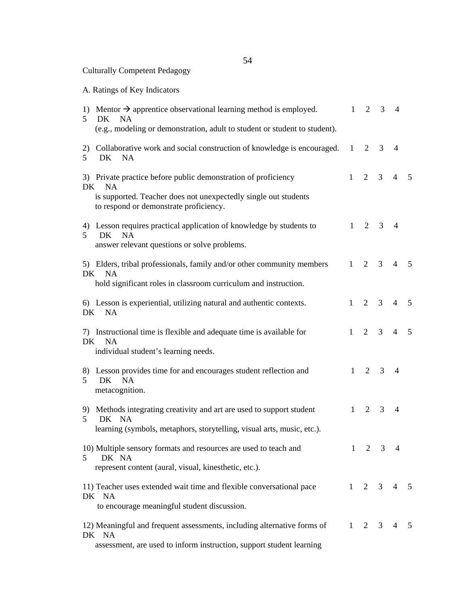Culturally Competent Pedagogy

|    | A. Ratings of Key Indicators                                                                                                                                                   |              |                     |              |                |    |
|----|--------------------------------------------------------------------------------------------------------------------------------------------------------------------------------|--------------|---------------------|--------------|----------------|----|
| 5  | 1) Mentor $\rightarrow$ apprentice observational learning method is employed.<br>DK<br><b>NA</b><br>(e.g., modeling or demonstration, adult to student or student to student). |              | $1 \quad 2 \quad 3$ |              | $\overline{4}$ |    |
|    |                                                                                                                                                                                |              |                     |              |                |    |
| 5  | 2) Collaborative work and social construction of knowledge is encouraged.<br>DK<br><b>NA</b>                                                                                   | $\mathbf{1}$ | 2                   | 3            | $\overline{4}$ |    |
|    | 3) Private practice before public demonstration of proficiency<br>DK NA                                                                                                        | $\mathbf{1}$ | 2                   | 3            | $\overline{4}$ | 5  |
|    | is supported. Teacher does not unexpectedly single out students<br>to respond or demonstrate proficiency.                                                                      |              |                     |              |                |    |
| 5  | 4) Lesson requires practical application of knowledge by students to<br>DK<br>- NA<br>answer relevant questions or solve problems.                                             | $\mathbf{1}$ | 2                   | 3            | $\overline{4}$ |    |
|    |                                                                                                                                                                                |              |                     |              |                |    |
|    | 5) Elders, tribal professionals, family and/or other community members<br>DK NA                                                                                                | $\mathbf{1}$ | 2                   | $\mathbf{3}$ | $\overline{4}$ | -5 |
|    | hold significant roles in classroom curriculum and instruction.                                                                                                                |              |                     |              |                |    |
| DK | 6) Lesson is experiential, utilizing natural and authentic contexts.<br>NA                                                                                                     | $\mathbf{1}$ | $\overline{2}$      | 3            | $\overline{4}$ | 5  |
| DK | 7) Instructional time is flexible and adequate time is available for<br><b>NA</b><br>individual student's learning needs.                                                      | $\mathbf{1}$ | 2                   | 3            | $\overline{4}$ | 5  |
| 5  | 8) Lesson provides time for and encourages student reflection and<br>DK<br>- NA<br>metacognition.                                                                              | $\mathbf{1}$ | 2                   | 3            | $\overline{4}$ |    |
| 5  | 9) Methods integrating creativity and art are used to support student<br>DK NA                                                                                                 | 1            | 2                   | 3            | 4              |    |
|    | learning (symbols, metaphors, storytelling, visual arts, music, etc.).                                                                                                         |              |                     |              |                |    |
| 5  | 10) Multiple sensory formats and resources are used to teach and<br>DK NA<br>represent content (aural, visual, kinesthetic, etc.).                                             | 1            | 2                   | 3            | 4              |    |
|    |                                                                                                                                                                                |              |                     |              |                |    |
|    | 11) Teacher uses extended wait time and flexible conversational pace<br>DK NA<br>to encourage meaningful student discussion.                                                   | 1            |                     | $2 \quad 3$  | $\overline{4}$ | 5  |
|    |                                                                                                                                                                                |              |                     |              |                |    |
|    | 12) Meaningful and frequent assessments, including alternative forms of<br>DK NA                                                                                               | 1            | $2 \quad 3$         |              | $\overline{4}$ | 5  |
|    | assessment, are used to inform instruction, support student learning                                                                                                           |              |                     |              |                |    |

54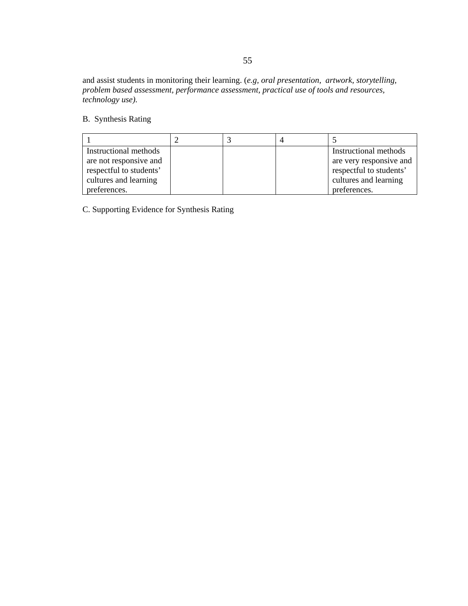and assist students in monitoring their learning. (*e.g, oral presentation, artwork, storytelling, problem based assessment, performance assessment, practical use of tools and resources, technology use).*

## B. Synthesis Rating

| Instructional methods   |  | Instructional methods   |
|-------------------------|--|-------------------------|
| are not responsive and  |  | are very responsive and |
| respectful to students' |  | respectful to students' |
| cultures and learning   |  | cultures and learning   |
| preferences.            |  | preferences.            |

C. Supporting Evidence for Synthesis Rating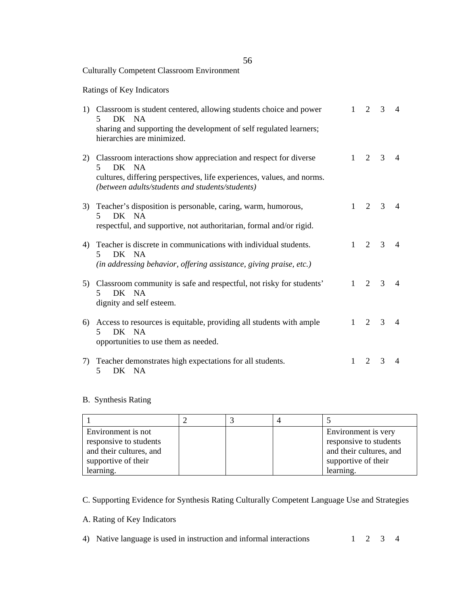56

Culturally Competent Classroom Environment

Ratings of Key Indicators

|    | 1) Classroom is student centered, allowing students choice and power<br>DK NA<br>5.<br>sharing and supporting the development of self regulated learners;<br>hierarchies are minimized.                                     | $\mathbf{1}$ | $\overline{2}$              | 3 | $\overline{4}$ |
|----|-----------------------------------------------------------------------------------------------------------------------------------------------------------------------------------------------------------------------------|--------------|-----------------------------|---|----------------|
|    | 2) Classroom interactions show appreciation and respect for diverse<br>DK NA<br>5 <sup>7</sup><br>cultures, differing perspectives, life experiences, values, and norms.<br>(between adults/students and students/students) |              | $1 \quad 2 \quad 3$         |   | $\overline{4}$ |
|    | 3) Teacher's disposition is personable, caring, warm, humorous,<br>DK NA<br>5.<br>respectful, and supportive, not authoritarian, formal and/or rigid.                                                                       | $\mathbf{1}$ | 2                           | 3 | $\overline{4}$ |
| 4) | Teacher is discrete in communications with individual students.<br>DK NA<br>5.<br>(in addressing behavior, offering assistance, giving praise, etc.)                                                                        | $1 \quad$    | 2                           | 3 | $\overline{4}$ |
|    | 5) Classroom community is safe and respectful, not risky for students'<br>DK NA<br>5<br>dignity and self esteem.                                                                                                            | $\mathbf{1}$ | $\overline{2}$              | 3 | $\overline{4}$ |
|    | 6) Access to resources is equitable, providing all students with ample<br>DK NA<br>5.<br>opportunities to use them as needed.                                                                                               | $1 \quad$    | $\overline{2}$              | 3 | $\overline{4}$ |
| 7) | Teacher demonstrates high expectations for all students.<br>DK NA<br>5.                                                                                                                                                     | 1            | $\mathcal{D}_{\mathcal{L}}$ | 3 |                |

### B. Synthesis Rating

| Environment is not      |  | Environment is very     |
|-------------------------|--|-------------------------|
| responsive to students  |  | responsive to students  |
| and their cultures, and |  | and their cultures, and |
| supportive of their     |  | supportive of their     |
| learning.               |  | learning.               |

C. Supporting Evidence for Synthesis Rating Culturally Competent Language Use and Strategies

A. Rating of Key Indicators

4) Native language is used in instruction and informal interactions 1 2 3 4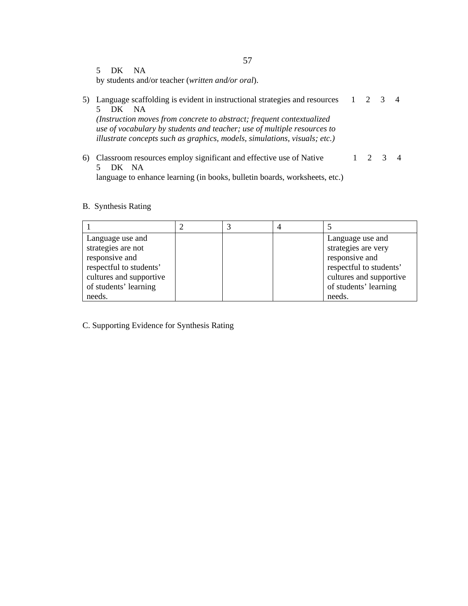5 DK NA

by students and/or teacher (*written and/or oral*).

5) Language scaffolding is evident in instructional strategies and resources 1 2 3 4 5 DK NA *(Instruction moves from concrete to abstract; frequent contextualized use of vocabulary by students and teacher; use of multiple resources to*

*illustrate concepts such as graphics, models, simulations, visuals; etc.)*

6) Classroom resources employ significant and effective use of Native 1 2 3 4 5 DK NA language to enhance learning (in books, bulletin boards, worksheets, etc.)

#### B. Synthesis Rating

| Language use and        |  | Language use and        |
|-------------------------|--|-------------------------|
| strategies are not      |  | strategies are very     |
| responsive and          |  | responsive and          |
| respectful to students' |  | respectful to students' |
| cultures and supportive |  | cultures and supportive |
| of students' learning   |  | of students' learning   |
| needs.                  |  | needs.                  |

C. Supporting Evidence for Synthesis Rating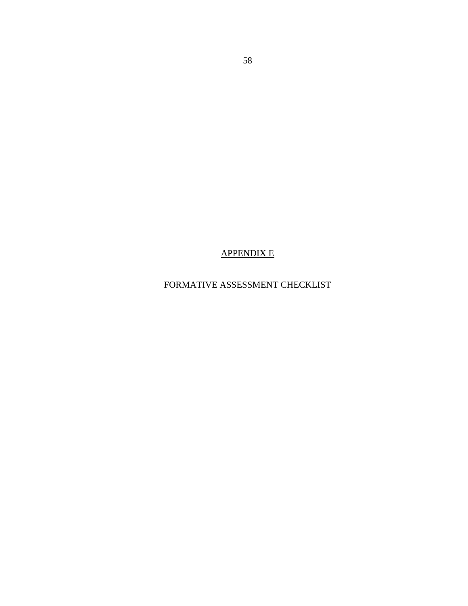APPENDIX E

FORMATIVE ASSESSMENT CHECKLIST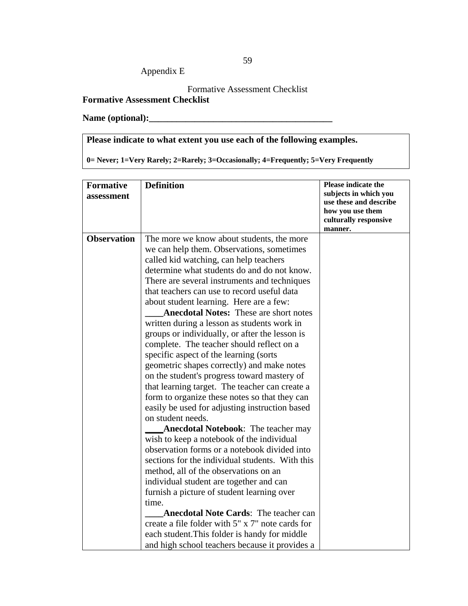Appendix E

Formative Assessment Checklist

**Formative Assessment Checklist**

**Name (optional):\_\_\_\_\_\_\_\_\_\_\_\_\_\_\_\_\_\_\_\_\_\_\_\_\_\_\_\_\_\_\_\_\_\_\_\_\_\_\_\_**

## **Please indicate to what extent you use each of the following examples.**

**0= Never; 1=Very Rarely; 2=Rarely; 3=Occasionally; 4=Frequently; 5=Very Frequently**

| <b>Formative</b>   | <b>Definition</b>                                | Please indicate the<br>subjects in which you |
|--------------------|--------------------------------------------------|----------------------------------------------|
| assessment         |                                                  | use these and describe                       |
|                    |                                                  | how you use them<br>culturally responsive    |
|                    |                                                  | manner.                                      |
| <b>Observation</b> | The more we know about students, the more        |                                              |
|                    | we can help them. Observations, sometimes        |                                              |
|                    | called kid watching, can help teachers           |                                              |
|                    | determine what students do and do not know.      |                                              |
|                    | There are several instruments and techniques     |                                              |
|                    | that teachers can use to record useful data      |                                              |
|                    | about student learning. Here are a few:          |                                              |
|                    | <b>Anecdotal Notes:</b> These are short notes    |                                              |
|                    | written during a lesson as students work in      |                                              |
|                    | groups or individually, or after the lesson is   |                                              |
|                    | complete. The teacher should reflect on a        |                                              |
|                    | specific aspect of the learning (sorts           |                                              |
|                    | geometric shapes correctly) and make notes       |                                              |
|                    | on the student's progress toward mastery of      |                                              |
|                    | that learning target. The teacher can create a   |                                              |
|                    | form to organize these notes so that they can    |                                              |
|                    | easily be used for adjusting instruction based   |                                              |
|                    | on student needs.                                |                                              |
|                    | <b>Anecdotal Notebook:</b> The teacher may       |                                              |
|                    | wish to keep a notebook of the individual        |                                              |
|                    | observation forms or a notebook divided into     |                                              |
|                    | sections for the individual students. With this  |                                              |
|                    | method, all of the observations on an            |                                              |
|                    | individual student are together and can          |                                              |
|                    | furnish a picture of student learning over       |                                              |
|                    | time.                                            |                                              |
|                    | <b>Anecdotal Note Cards:</b> The teacher can     |                                              |
|                    | create a file folder with 5" x 7" note cards for |                                              |
|                    | each student. This folder is handy for middle    |                                              |
|                    | and high school teachers because it provides a   |                                              |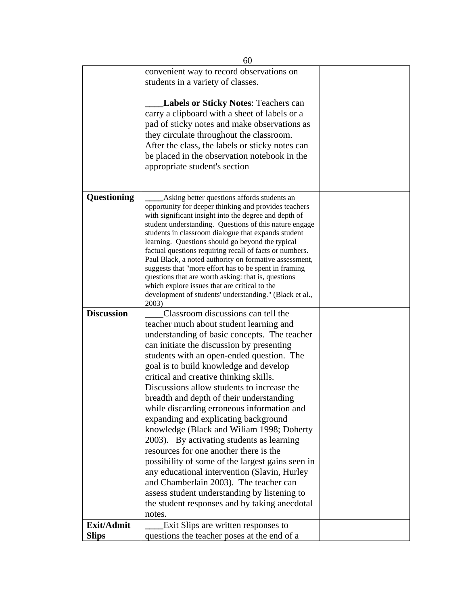|                   | 60                                                                                                                |  |
|-------------------|-------------------------------------------------------------------------------------------------------------------|--|
|                   | convenient way to record observations on                                                                          |  |
|                   | students in a variety of classes.                                                                                 |  |
|                   |                                                                                                                   |  |
|                   | <b>Labels or Sticky Notes: Teachers can</b>                                                                       |  |
|                   | carry a clipboard with a sheet of labels or a                                                                     |  |
|                   | pad of sticky notes and make observations as                                                                      |  |
|                   | they circulate throughout the classroom.                                                                          |  |
|                   | After the class, the labels or sticky notes can                                                                   |  |
|                   | be placed in the observation notebook in the                                                                      |  |
|                   | appropriate student's section                                                                                     |  |
|                   |                                                                                                                   |  |
|                   |                                                                                                                   |  |
| Questioning       | Asking better questions affords students an                                                                       |  |
|                   | opportunity for deeper thinking and provides teachers                                                             |  |
|                   | with significant insight into the degree and depth of                                                             |  |
|                   | student understanding. Questions of this nature engage                                                            |  |
|                   | students in classroom dialogue that expands student                                                               |  |
|                   | learning. Questions should go beyond the typical                                                                  |  |
|                   | factual questions requiring recall of facts or numbers.<br>Paul Black, a noted authority on formative assessment, |  |
|                   | suggests that "more effort has to be spent in framing                                                             |  |
|                   | questions that are worth asking: that is, questions                                                               |  |
|                   | which explore issues that are critical to the                                                                     |  |
|                   | development of students' understanding." (Black et al.,<br>2003)                                                  |  |
| <b>Discussion</b> | Classroom discussions can tell the                                                                                |  |
|                   | teacher much about student learning and                                                                           |  |
|                   | understanding of basic concepts. The teacher                                                                      |  |
|                   | can initiate the discussion by presenting                                                                         |  |
|                   | students with an open-ended question. The                                                                         |  |
|                   | goal is to build knowledge and develop                                                                            |  |
|                   | critical and creative thinking skills.                                                                            |  |
|                   | Discussions allow students to increase the                                                                        |  |
|                   | breadth and depth of their understanding                                                                          |  |
|                   | while discarding erroneous information and                                                                        |  |
|                   | expanding and explicating background                                                                              |  |
|                   | knowledge (Black and Wiliam 1998; Doherty                                                                         |  |
|                   | 2003). By activating students as learning                                                                         |  |
|                   | resources for one another there is the                                                                            |  |
|                   |                                                                                                                   |  |
|                   | possibility of some of the largest gains seen in                                                                  |  |
|                   | any educational intervention (Slavin, Hurley                                                                      |  |
|                   | and Chamberlain 2003). The teacher can                                                                            |  |
|                   | assess student understanding by listening to                                                                      |  |
|                   | the student responses and by taking anecdotal                                                                     |  |
|                   | notes.                                                                                                            |  |
| Exit/Admit        | Exit Slips are written responses to                                                                               |  |
| <b>Slips</b>      | questions the teacher poses at the end of a                                                                       |  |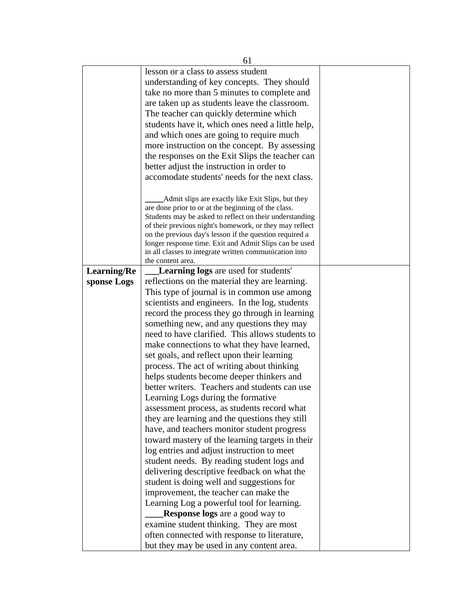|                    | 61                                                                                                                 |  |
|--------------------|--------------------------------------------------------------------------------------------------------------------|--|
|                    | lesson or a class to assess student                                                                                |  |
|                    | understanding of key concepts. They should                                                                         |  |
|                    | take no more than 5 minutes to complete and                                                                        |  |
|                    | are taken up as students leave the classroom.                                                                      |  |
|                    | The teacher can quickly determine which                                                                            |  |
|                    | students have it, which ones need a little help,                                                                   |  |
|                    | and which ones are going to require much                                                                           |  |
|                    | more instruction on the concept. By assessing                                                                      |  |
|                    | the responses on the Exit Slips the teacher can                                                                    |  |
|                    | better adjust the instruction in order to                                                                          |  |
|                    | accomodate students' needs for the next class.                                                                     |  |
|                    |                                                                                                                    |  |
|                    | Admit slips are exactly like Exit Slips, but they                                                                  |  |
|                    | are done prior to or at the beginning of the class.                                                                |  |
|                    | Students may be asked to reflect on their understanding                                                            |  |
|                    | of their previous night's homework, or they may reflect<br>on the previous day's lesson if the question required a |  |
|                    | longer response time. Exit and Admit Slips can be used                                                             |  |
|                    | in all classes to integrate written communication into                                                             |  |
|                    | the content area.                                                                                                  |  |
| <b>Learning/Re</b> | <b>Learning logs</b> are used for students'                                                                        |  |
| sponse Logs        | reflections on the material they are learning.                                                                     |  |
|                    | This type of journal is in common use among                                                                        |  |
|                    | scientists and engineers. In the log, students                                                                     |  |
|                    | record the process they go through in learning                                                                     |  |
|                    | something new, and any questions they may                                                                          |  |
|                    | need to have clarified. This allows students to                                                                    |  |
|                    | make connections to what they have learned,                                                                        |  |
|                    | set goals, and reflect upon their learning                                                                         |  |
|                    | process. The act of writing about thinking                                                                         |  |
|                    | helps students become deeper thinkers and                                                                          |  |
|                    | better writers. Teachers and students can use                                                                      |  |
|                    | Learning Logs during the formative                                                                                 |  |
|                    | assessment process, as students record what                                                                        |  |
|                    | they are learning and the questions they still                                                                     |  |
|                    | have, and teachers monitor student progress                                                                        |  |
|                    | toward mastery of the learning targets in their                                                                    |  |
|                    | log entries and adjust instruction to meet                                                                         |  |
|                    | student needs. By reading student logs and                                                                         |  |
|                    | delivering descriptive feedback on what the                                                                        |  |
|                    | student is doing well and suggestions for                                                                          |  |
|                    | improvement, the teacher can make the                                                                              |  |
|                    | Learning Log a powerful tool for learning.                                                                         |  |
|                    | <b>Response logs</b> are a good way to                                                                             |  |
|                    | examine student thinking. They are most                                                                            |  |
|                    | often connected with response to literature,                                                                       |  |
|                    | but they may be used in any content area.                                                                          |  |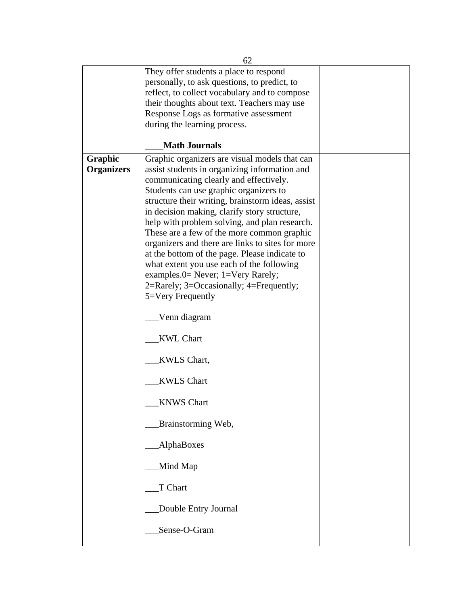|                   | 62                                                |  |
|-------------------|---------------------------------------------------|--|
|                   | They offer students a place to respond            |  |
|                   | personally, to ask questions, to predict, to      |  |
|                   | reflect, to collect vocabulary and to compose     |  |
|                   | their thoughts about text. Teachers may use       |  |
|                   | Response Logs as formative assessment             |  |
|                   | during the learning process.                      |  |
|                   | <b>Math Journals</b>                              |  |
| Graphic           | Graphic organizers are visual models that can     |  |
| <b>Organizers</b> | assist students in organizing information and     |  |
|                   | communicating clearly and effectively.            |  |
|                   | Students can use graphic organizers to            |  |
|                   | structure their writing, brainstorm ideas, assist |  |
|                   | in decision making, clarify story structure,      |  |
|                   | help with problem solving, and plan research.     |  |
|                   | These are a few of the more common graphic        |  |
|                   | organizers and there are links to sites for more  |  |
|                   | at the bottom of the page. Please indicate to     |  |
|                   | what extent you use each of the following         |  |
|                   | examples.0= Never; 1=Very Rarely;                 |  |
|                   | 2=Rarely; 3=Occasionally; 4=Frequently;           |  |
|                   | 5=Very Frequently                                 |  |
|                   | Venn diagram                                      |  |
|                   | <b>KWL Chart</b>                                  |  |
|                   | <b>KWLS Chart,</b>                                |  |
|                   | <b>KWLS Chart</b>                                 |  |
|                   | <b>KNWS Chart</b>                                 |  |
|                   | Brainstorming Web,                                |  |
|                   | AlphaBoxes                                        |  |
|                   | Mind Map                                          |  |
|                   | T Chart                                           |  |
|                   | Double Entry Journal                              |  |
|                   | Sense-O-Gram                                      |  |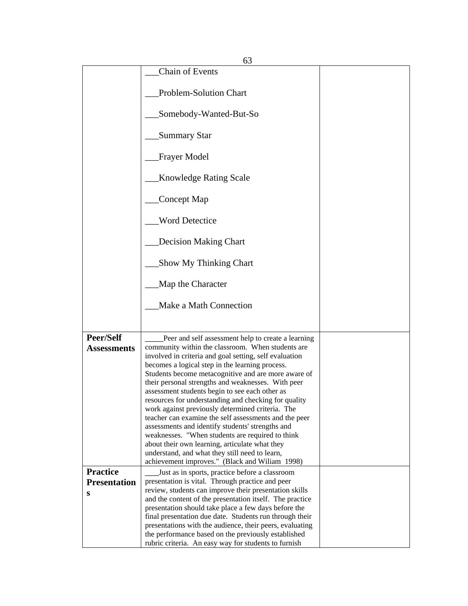|                                        | op                                                                                                              |  |
|----------------------------------------|-----------------------------------------------------------------------------------------------------------------|--|
|                                        | Chain of Events                                                                                                 |  |
|                                        | <b>Problem-Solution Chart</b>                                                                                   |  |
|                                        | Somebody-Wanted-But-So                                                                                          |  |
|                                        | <b>Summary Star</b>                                                                                             |  |
|                                        | Frayer Model                                                                                                    |  |
|                                        | <b>Knowledge Rating Scale</b>                                                                                   |  |
|                                        | Concept Map                                                                                                     |  |
|                                        | <b>Word Detectice</b>                                                                                           |  |
|                                        | <b>Decision Making Chart</b>                                                                                    |  |
|                                        | Show My Thinking Chart                                                                                          |  |
|                                        | Map the Character                                                                                               |  |
|                                        | Make a Math Connection                                                                                          |  |
|                                        |                                                                                                                 |  |
| Peer/Self<br><b>Assessments</b>        | Peer and self assessment help to create a learning<br>community within the classroom. When students are         |  |
|                                        | involved in criteria and goal setting, self evaluation                                                          |  |
|                                        | becomes a logical step in the learning process.                                                                 |  |
|                                        | Students become metacognitive and are more aware of<br>their personal strengths and weaknesses. With peer       |  |
|                                        | assessment students begin to see each other as                                                                  |  |
|                                        | resources for understanding and checking for quality<br>work against previously determined criteria. The        |  |
|                                        | teacher can examine the self assessments and the peer                                                           |  |
|                                        | assessments and identify students' strengths and                                                                |  |
|                                        | weaknesses. "When students are required to think<br>about their own learning, articulate what they              |  |
|                                        | understand, and what they still need to learn,                                                                  |  |
|                                        | achievement improves." (Black and Wiliam 1998)                                                                  |  |
| <b>Practice</b><br><b>Presentation</b> | Just as in sports, practice before a classroom<br>presentation is vital. Through practice and peer              |  |
| S                                      | review, students can improve their presentation skills                                                          |  |
|                                        | and the content of the presentation itself. The practice                                                        |  |
|                                        | presentation should take place a few days before the<br>final presentation due date. Students run through their |  |
|                                        | presentations with the audience, their peers, evaluating                                                        |  |
|                                        | the performance based on the previously established<br>rubric criteria. An easy way for students to furnish     |  |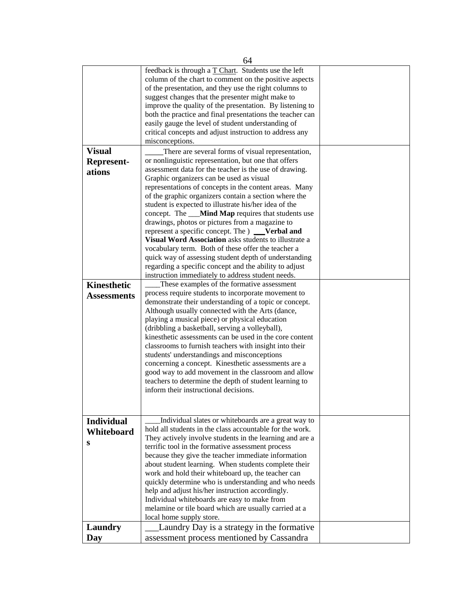|                    | 64                                                                                                              |  |
|--------------------|-----------------------------------------------------------------------------------------------------------------|--|
|                    | feedback is through a T Chart. Students use the left                                                            |  |
|                    | column of the chart to comment on the positive aspects                                                          |  |
|                    | of the presentation, and they use the right columns to                                                          |  |
|                    | suggest changes that the presenter might make to                                                                |  |
|                    | improve the quality of the presentation. By listening to                                                        |  |
|                    | both the practice and final presentations the teacher can                                                       |  |
|                    | easily gauge the level of student understanding of                                                              |  |
|                    | critical concepts and adjust instruction to address any                                                         |  |
|                    | misconceptions.                                                                                                 |  |
| <b>Visual</b>      | There are several forms of visual representation,                                                               |  |
| Represent-         | or nonlinguistic representation, but one that offers                                                            |  |
| ations             | assessment data for the teacher is the use of drawing.                                                          |  |
|                    | Graphic organizers can be used as visual                                                                        |  |
|                    | representations of concepts in the content areas. Many<br>of the graphic organizers contain a section where the |  |
|                    | student is expected to illustrate his/her idea of the                                                           |  |
|                    | concept. The __ <b>Mind Map</b> requires that students use                                                      |  |
|                    | drawings, photos or pictures from a magazine to                                                                 |  |
|                    | represent a specific concept. The ) __Verbal and                                                                |  |
|                    | Visual Word Association asks students to illustrate a                                                           |  |
|                    | vocabulary term. Both of these offer the teacher a                                                              |  |
|                    | quick way of assessing student depth of understanding                                                           |  |
|                    | regarding a specific concept and the ability to adjust                                                          |  |
|                    | instruction immediately to address student needs.                                                               |  |
| <b>Kinesthetic</b> | These examples of the formative assessment                                                                      |  |
| <b>Assessments</b> | process require students to incorporate movement to                                                             |  |
|                    | demonstrate their understanding of a topic or concept.                                                          |  |
|                    | Although usually connected with the Arts (dance,                                                                |  |
|                    | playing a musical piece) or physical education                                                                  |  |
|                    | (dribbling a basketball, serving a volleyball),                                                                 |  |
|                    | kines the tic assessments can be used in the core content                                                       |  |
|                    | classrooms to furnish teachers with insight into their                                                          |  |
|                    | students' understandings and misconceptions                                                                     |  |
|                    | concerning a concept. Kinesthetic assessments are a<br>good way to add movement in the classroom and allow      |  |
|                    | teachers to determine the depth of student learning to                                                          |  |
|                    | inform their instructional decisions.                                                                           |  |
|                    |                                                                                                                 |  |
|                    |                                                                                                                 |  |
|                    |                                                                                                                 |  |
| <b>Individual</b>  | Individual slates or whiteboards are a great way to<br>hold all students in the class accountable for the work. |  |
| Whiteboard         | They actively involve students in the learning and are a                                                        |  |
| S                  | terrific tool in the formative assessment process                                                               |  |
|                    | because they give the teacher immediate information                                                             |  |
|                    | about student learning. When students complete their                                                            |  |
|                    | work and hold their whiteboard up, the teacher can                                                              |  |
|                    | quickly determine who is understanding and who needs                                                            |  |
|                    | help and adjust his/her instruction accordingly.                                                                |  |
|                    | Individual whiteboards are easy to make from                                                                    |  |
|                    | melamine or tile board which are usually carried at a                                                           |  |
|                    | local home supply store.                                                                                        |  |
| Laundry            | Laundry Day is a strategy in the formative                                                                      |  |
| Day                | assessment process mentioned by Cassandra                                                                       |  |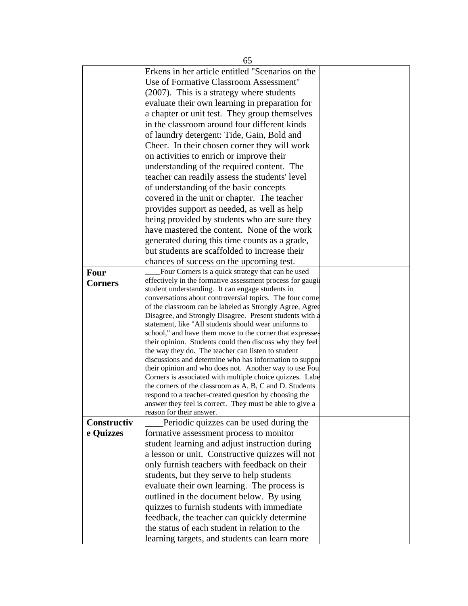|                | 65                                                                                                                   |  |
|----------------|----------------------------------------------------------------------------------------------------------------------|--|
|                | Erkens in her article entitled "Scenarios on the                                                                     |  |
|                | Use of Formative Classroom Assessment"                                                                               |  |
|                | (2007). This is a strategy where students                                                                            |  |
|                | evaluate their own learning in preparation for                                                                       |  |
|                | a chapter or unit test. They group themselves                                                                        |  |
|                | in the classroom around four different kinds                                                                         |  |
|                | of laundry detergent: Tide, Gain, Bold and                                                                           |  |
|                | Cheer. In their chosen corner they will work                                                                         |  |
|                | on activities to enrich or improve their                                                                             |  |
|                | understanding of the required content. The                                                                           |  |
|                | teacher can readily assess the students' level                                                                       |  |
|                | of understanding of the basic concepts                                                                               |  |
|                | covered in the unit or chapter. The teacher                                                                          |  |
|                | provides support as needed, as well as help                                                                          |  |
|                | being provided by students who are sure they                                                                         |  |
|                | have mastered the content. None of the work                                                                          |  |
|                |                                                                                                                      |  |
|                | generated during this time counts as a grade,                                                                        |  |
|                | but students are scaffolded to increase their                                                                        |  |
|                | chances of success on the upcoming test.                                                                             |  |
| Four           | Four Corners is a quick strategy that can be used<br>effectively in the formative assessment process for gaugin      |  |
| <b>Corners</b> | student understanding. It can engage students in                                                                     |  |
|                | conversations about controversial topics. The four corner                                                            |  |
|                | of the classroom can be labeled as Strongly Agree, Agree                                                             |  |
|                | Disagree, and Strongly Disagree. Present students with a                                                             |  |
|                | statement, like "All students should wear uniforms to                                                                |  |
|                | school," and have them move to the corner that expresses<br>their opinion. Students could then discuss why they feel |  |
|                | the way they do. The teacher can listen to student                                                                   |  |
|                | discussions and determine who has information to support                                                             |  |
|                | their opinion and who does not. Another way to use Fou                                                               |  |
|                | Corners is associated with multiple choice quizzes. Labe                                                             |  |
|                | the corners of the classroom as A, B, C and D. Students                                                              |  |
|                | respond to a teacher-created question by choosing the<br>answer they feel is correct. They must be able to give a    |  |
|                | reason for their answer.                                                                                             |  |
| Constructiv    | Periodic quizzes can be used during the                                                                              |  |
| e Quizzes      | formative assessment process to monitor                                                                              |  |
|                | student learning and adjust instruction during                                                                       |  |
|                | a lesson or unit. Constructive quizzes will not                                                                      |  |
|                | only furnish teachers with feedback on their                                                                         |  |
|                | students, but they serve to help students                                                                            |  |
|                | evaluate their own learning. The process is                                                                          |  |
|                | outlined in the document below. By using                                                                             |  |
|                | quizzes to furnish students with immediate                                                                           |  |
|                | feedback, the teacher can quickly determine                                                                          |  |
|                | the status of each student in relation to the                                                                        |  |
|                | learning targets, and students can learn more                                                                        |  |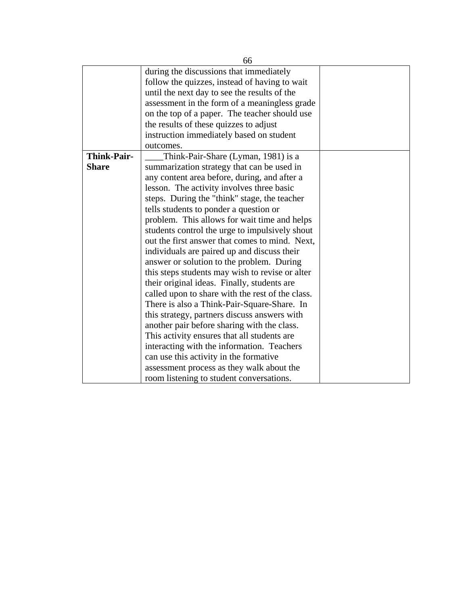|                    | 66                                               |  |
|--------------------|--------------------------------------------------|--|
|                    | during the discussions that immediately          |  |
|                    | follow the quizzes, instead of having to wait    |  |
|                    | until the next day to see the results of the     |  |
|                    | assessment in the form of a meaningless grade    |  |
|                    | on the top of a paper. The teacher should use    |  |
|                    | the results of these quizzes to adjust           |  |
|                    | instruction immediately based on student         |  |
|                    | outcomes.                                        |  |
| <b>Think-Pair-</b> | Think-Pair-Share (Lyman, 1981) is a              |  |
| <b>Share</b>       | summarization strategy that can be used in       |  |
|                    | any content area before, during, and after a     |  |
|                    | lesson. The activity involves three basic        |  |
|                    | steps. During the "think" stage, the teacher     |  |
|                    | tells students to ponder a question or           |  |
|                    | problem. This allows for wait time and helps     |  |
|                    | students control the urge to impulsively shout   |  |
|                    | out the first answer that comes to mind. Next,   |  |
|                    | individuals are paired up and discuss their      |  |
|                    | answer or solution to the problem. During        |  |
|                    | this steps students may wish to revise or alter  |  |
|                    | their original ideas. Finally, students are      |  |
|                    | called upon to share with the rest of the class. |  |
|                    | There is also a Think-Pair-Square-Share. In      |  |
|                    | this strategy, partners discuss answers with     |  |
|                    | another pair before sharing with the class.      |  |
|                    | This activity ensures that all students are      |  |
|                    | interacting with the information. Teachers       |  |
|                    | can use this activity in the formative           |  |
|                    | assessment process as they walk about the        |  |
|                    | room listening to student conversations.         |  |